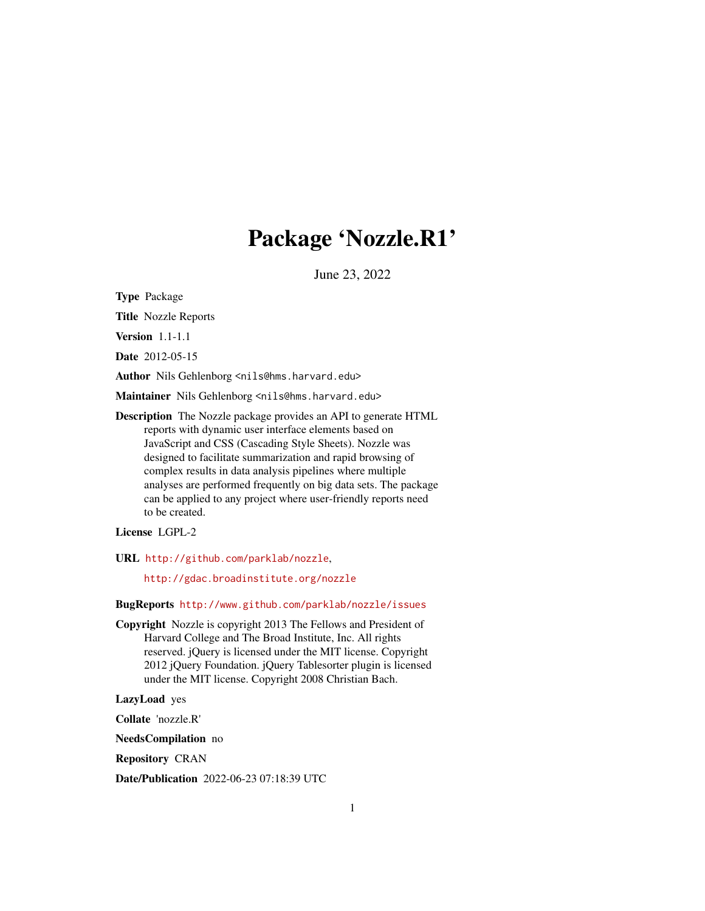# Package 'Nozzle.R1'

June 23, 2022

Type Package

Title Nozzle Reports

Version 1.1-1.1

Date 2012-05-15

Author Nils Gehlenborg <nils@hms.harvard.edu>

Maintainer Nils Gehlenborg <nils@hms.harvard.edu>

Description The Nozzle package provides an API to generate HTML reports with dynamic user interface elements based on JavaScript and CSS (Cascading Style Sheets). Nozzle was designed to facilitate summarization and rapid browsing of complex results in data analysis pipelines where multiple analyses are performed frequently on big data sets. The package can be applied to any project where user-friendly reports need to be created.

License LGPL-2

URL <http://github.com/parklab/nozzle>,

<http://gdac.broadinstitute.org/nozzle>

BugReports <http://www.github.com/parklab/nozzle/issues>

Copyright Nozzle is copyright 2013 The Fellows and President of Harvard College and The Broad Institute, Inc. All rights reserved. jQuery is licensed under the MIT license. Copyright 2012 jQuery Foundation. jQuery Tablesorter plugin is licensed under the MIT license. Copyright 2008 Christian Bach.

LazyLoad yes

Collate 'nozzle.R'

NeedsCompilation no

Repository CRAN

Date/Publication 2022-06-23 07:18:39 UTC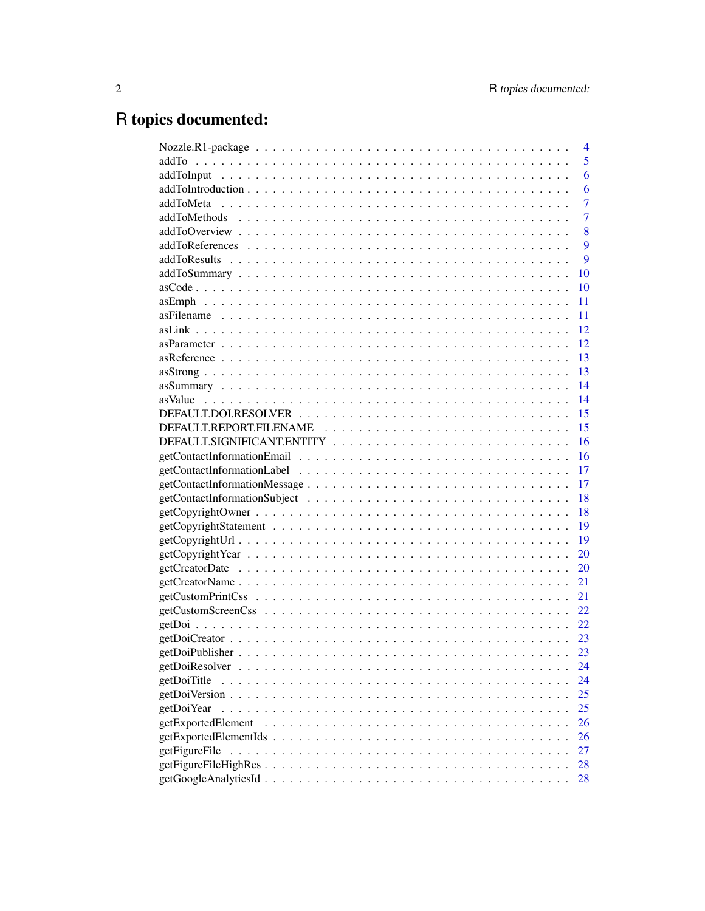# R topics documented:

|                                                                                                                                                                                                                                | $\overline{4}$ |
|--------------------------------------------------------------------------------------------------------------------------------------------------------------------------------------------------------------------------------|----------------|
| addTo                                                                                                                                                                                                                          | 5              |
|                                                                                                                                                                                                                                | 6              |
|                                                                                                                                                                                                                                | 6              |
|                                                                                                                                                                                                                                | $\overline{7}$ |
|                                                                                                                                                                                                                                | $\overline{7}$ |
|                                                                                                                                                                                                                                | 8              |
|                                                                                                                                                                                                                                | 9              |
|                                                                                                                                                                                                                                | 9              |
|                                                                                                                                                                                                                                | 10             |
|                                                                                                                                                                                                                                | 10             |
|                                                                                                                                                                                                                                | 11             |
|                                                                                                                                                                                                                                | 11             |
|                                                                                                                                                                                                                                | 12             |
|                                                                                                                                                                                                                                | -12            |
|                                                                                                                                                                                                                                | 13             |
|                                                                                                                                                                                                                                | 13             |
|                                                                                                                                                                                                                                | 14             |
| as Value recognization and the set of the contract of the contract of the contract of the contract of the contract of the contract of the contract of the contract of the contract of the contract of the contract of the cont | 14             |
|                                                                                                                                                                                                                                | 15             |
|                                                                                                                                                                                                                                | 15             |
|                                                                                                                                                                                                                                | 16             |
|                                                                                                                                                                                                                                | 16             |
|                                                                                                                                                                                                                                | 17             |
|                                                                                                                                                                                                                                | 17             |
|                                                                                                                                                                                                                                | 18             |
|                                                                                                                                                                                                                                | 18             |
|                                                                                                                                                                                                                                | 19             |
|                                                                                                                                                                                                                                | 19             |
|                                                                                                                                                                                                                                | 20             |
|                                                                                                                                                                                                                                | 20             |
|                                                                                                                                                                                                                                | 21             |
|                                                                                                                                                                                                                                |                |
|                                                                                                                                                                                                                                | 21             |
|                                                                                                                                                                                                                                | 22             |
|                                                                                                                                                                                                                                | 22             |
|                                                                                                                                                                                                                                | 23             |
|                                                                                                                                                                                                                                | 23             |
|                                                                                                                                                                                                                                | 24             |
| getDoiTitle                                                                                                                                                                                                                    | 24             |
|                                                                                                                                                                                                                                | 25             |
| getDoiYear                                                                                                                                                                                                                     | 25             |
| getExportedElement                                                                                                                                                                                                             | 26             |
|                                                                                                                                                                                                                                | 26             |
| getFigureFile                                                                                                                                                                                                                  | 27             |
|                                                                                                                                                                                                                                | 28             |
|                                                                                                                                                                                                                                | 28             |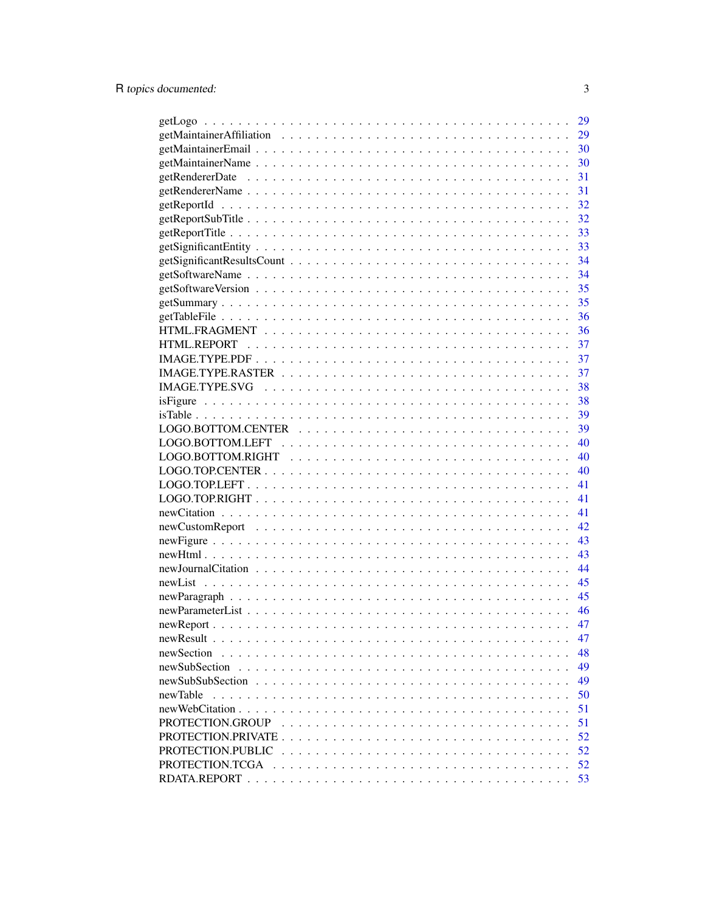|                   | 29 |
|-------------------|----|
|                   | 29 |
|                   | 30 |
|                   | 30 |
|                   | 31 |
|                   | 31 |
|                   | 32 |
|                   | 32 |
|                   | 33 |
|                   | 33 |
|                   | 34 |
|                   | 34 |
|                   | 35 |
|                   | 35 |
|                   | 36 |
|                   | 36 |
|                   | 37 |
|                   | 37 |
|                   | 37 |
|                   | 38 |
|                   | 38 |
|                   | 39 |
|                   | 39 |
|                   | 40 |
|                   | 40 |
|                   | 40 |
|                   | 41 |
|                   | 41 |
|                   | 41 |
|                   | 42 |
|                   | 43 |
|                   | 43 |
|                   | 44 |
|                   | 45 |
|                   | 45 |
|                   | 46 |
|                   | 47 |
|                   | 47 |
| newSection        | 48 |
| newSubSection     | 49 |
|                   | 49 |
| newTable          | 50 |
|                   | 51 |
| PROTECTION.GROUP  | 51 |
|                   | 52 |
| PROTECTION.PUBLIC | 52 |
| PROTECTION.TCGA   | 52 |
|                   | 53 |
|                   |    |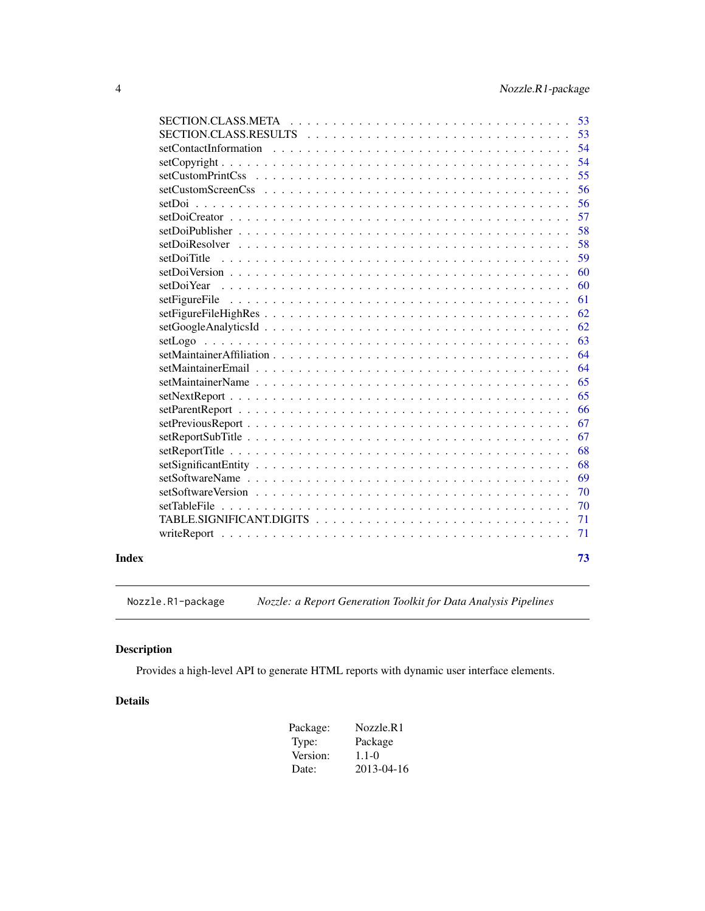<span id="page-3-0"></span>

|       |                | -53 |
|-------|----------------|-----|
|       |                | 53  |
|       |                | 54  |
|       | $setCopyright$ | 54  |
|       |                | 55  |
|       |                | 56  |
|       |                | 56  |
|       |                |     |
|       |                | 57  |
|       |                | 58  |
|       |                | 58  |
|       | setDoiTitle    | 59  |
|       |                | 60  |
|       | setDoiYear     | 60  |
|       |                | 61  |
|       |                | 62  |
|       |                | 62  |
|       |                | 63  |
|       |                | 64  |
|       |                | 64  |
|       |                | 65  |
|       |                | 65  |
|       |                | 66  |
|       |                | 67  |
|       |                | 67  |
|       |                | 68  |
|       |                | 68  |
|       |                | 69  |
|       |                | 70  |
|       |                | 70  |
|       |                | 71  |
|       |                | 71  |
|       |                |     |
| Index |                | 73  |

Nozzle.R1-package *Nozzle: a Report Generation Toolkit for Data Analysis Pipelines*

# Description

Provides a high-level API to generate HTML reports with dynamic user interface elements.

# Details

| Package: | Nozzle.R1  |
|----------|------------|
| Type:    | Package    |
| Version: | $1.1 - 0$  |
| Date:    | 2013-04-16 |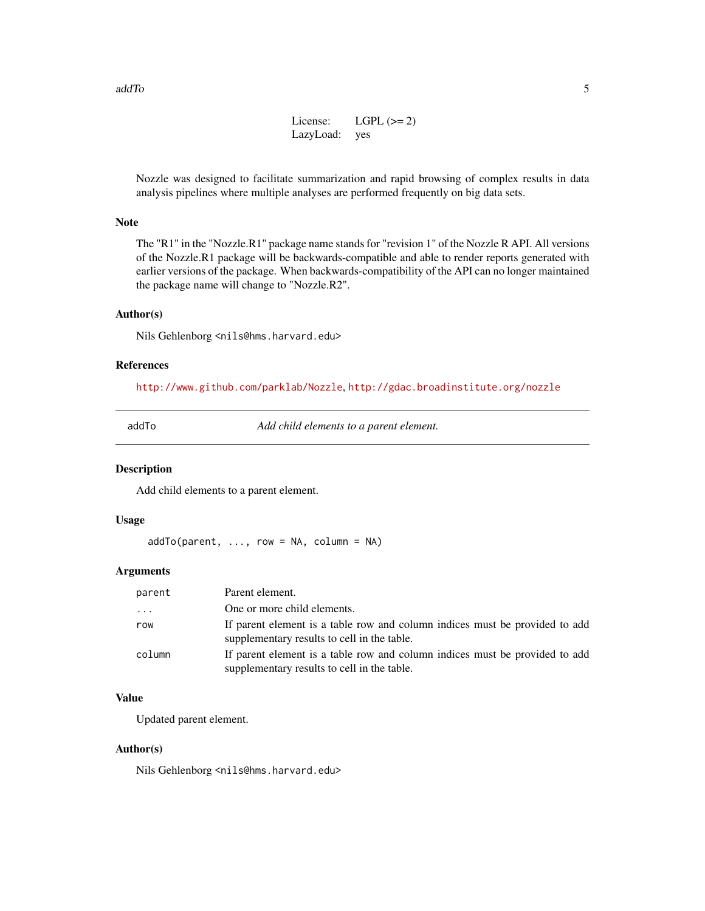<span id="page-4-0"></span>add To 5 and 5 and 5 and 5 and 5 and 5 and 5 and 5 and 5 and 5 and 5 and 5 and 5 and 5 and 5 and 5 and 5 and 5

```
License: LGPL (> = 2)LazyLoad: yes
```
Nozzle was designed to facilitate summarization and rapid browsing of complex results in data analysis pipelines where multiple analyses are performed frequently on big data sets.

#### Note

The "R1" in the "Nozzle.R1" package name stands for "revision 1" of the Nozzle R API. All versions of the Nozzle.R1 package will be backwards-compatible and able to render reports generated with earlier versions of the package. When backwards-compatibility of the API can no longer maintained the package name will change to "Nozzle.R2".

#### Author(s)

Nils Gehlenborg <nils@hms.harvard.edu>

#### References

<http://www.github.com/parklab/Nozzle>, <http://gdac.broadinstitute.org/nozzle>

addTo *Add child elements to a parent element.*

#### Description

Add child elements to a parent element.

#### Usage

 $addTo(parent, ..., row = NA, column = NA)$ 

#### Arguments

| parent | Parent element.                                                                                                            |
|--------|----------------------------------------------------------------------------------------------------------------------------|
| .      | One or more child elements.                                                                                                |
| row    | If parent element is a table row and column indices must be provided to add<br>supplementary results to cell in the table. |
| column | If parent element is a table row and column indices must be provided to add<br>supplementary results to cell in the table. |

#### Value

Updated parent element.

#### Author(s)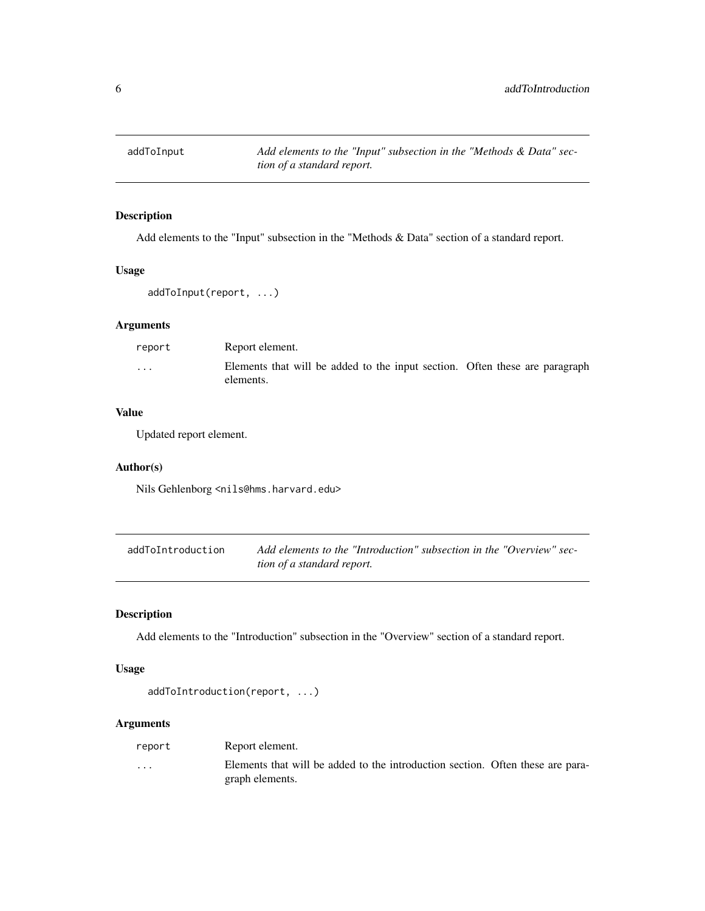<span id="page-5-0"></span>

Add elements to the "Input" subsection in the "Methods & Data" section of a standard report.

#### Usage

```
addToInput(report, ...)
```
# Arguments

| report   | Report element.                                                                          |  |
|----------|------------------------------------------------------------------------------------------|--|
| $\cdots$ | Elements that will be added to the input section. Often these are paragraph<br>elements. |  |

#### Value

Updated report element.

#### Author(s)

Nils Gehlenborg <nils@hms.harvard.edu>

| addToIntroduction | Add elements to the "Introduction" subsection in the "Overview" sec- |
|-------------------|----------------------------------------------------------------------|
|                   | <i>tion of a standard report.</i>                                    |

# Description

Add elements to the "Introduction" subsection in the "Overview" section of a standard report.

# Usage

```
addToIntroduction(report, ...)
```
#### Arguments

| report   | Report element.                                                                                   |  |
|----------|---------------------------------------------------------------------------------------------------|--|
| $\cdots$ | Elements that will be added to the introduction section. Often these are para-<br>graph elements. |  |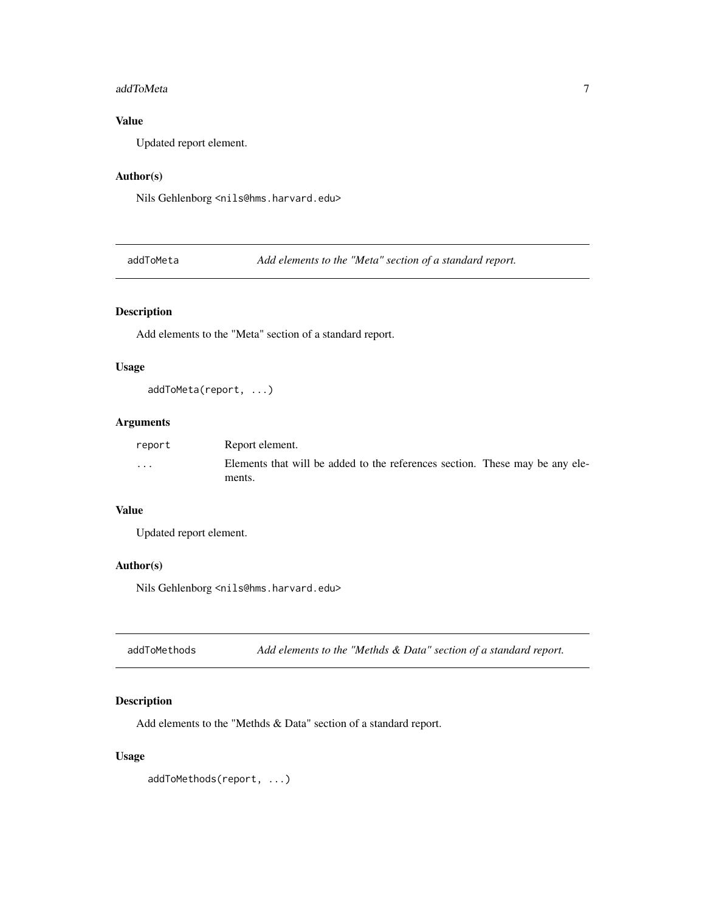#### <span id="page-6-0"></span>addToMeta 7

# Value

Updated report element.

#### Author(s)

Nils Gehlenborg <nils@hms.harvard.edu>

addToMeta *Add elements to the "Meta" section of a standard report.*

# Description

Add elements to the "Meta" section of a standard report.

## Usage

addToMeta(report, ...)

#### Arguments

| report   | Report element.                                                                        |  |
|----------|----------------------------------------------------------------------------------------|--|
| $\cdots$ | Elements that will be added to the references section. These may be any ele-<br>ments. |  |

#### Value

Updated report element.

#### Author(s)

Nils Gehlenborg <nils@hms.harvard.edu>

addToMethods *Add elements to the "Methds & Data" section of a standard report.*

# Description

Add elements to the "Methds & Data" section of a standard report.

#### Usage

addToMethods(report, ...)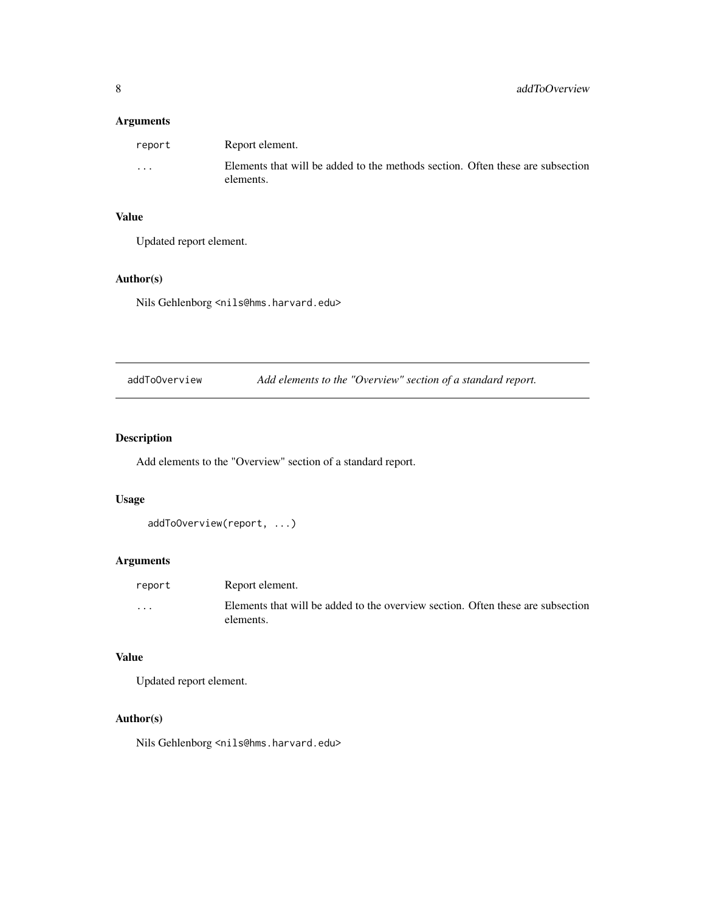# <span id="page-7-0"></span>Arguments

| report  | Report element.                                                                             |
|---------|---------------------------------------------------------------------------------------------|
| $\cdot$ | Elements that will be added to the methods section. Often these are subsection<br>elements. |

# Value

Updated report element.

# Author(s)

Nils Gehlenborg <nils@hms.harvard.edu>

addToOverview *Add elements to the "Overview" section of a standard report.*

# Description

Add elements to the "Overview" section of a standard report.

# Usage

```
addToOverview(report, ...)
```
# Arguments

| report   | Report element.                                                                 |
|----------|---------------------------------------------------------------------------------|
| $\cdots$ | Elements that will be added to the overview section. Often these are subsection |
|          | elements.                                                                       |

#### Value

Updated report element.

#### Author(s)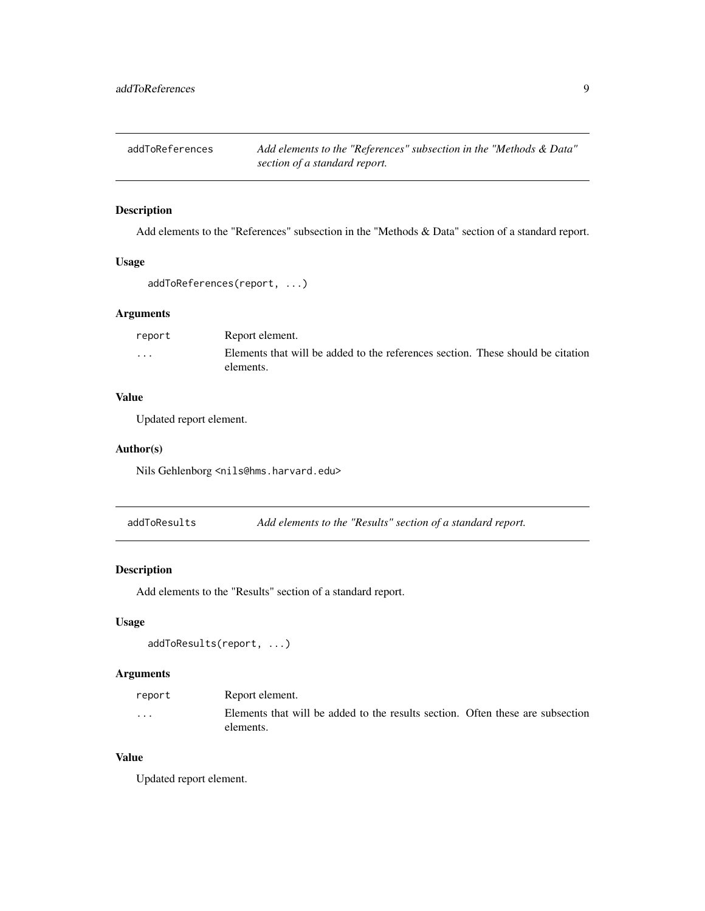<span id="page-8-0"></span>addToReferences *Add elements to the "References" subsection in the "Methods & Data" section of a standard report.*

#### Description

Add elements to the "References" subsection in the "Methods & Data" section of a standard report.

# Usage

```
addToReferences(report, ...)
```
# Arguments

| report | Report element.                                                                              |
|--------|----------------------------------------------------------------------------------------------|
| .      | Elements that will be added to the references section. These should be citation<br>elements. |

#### Value

Updated report element.

#### Author(s)

Nils Gehlenborg <nils@hms.harvard.edu>

```
addToResults Add elements to the "Results" section of a standard report.
```
# Description

Add elements to the "Results" section of a standard report.

# Usage

```
addToResults(report, ...)
```
# Arguments

| report   | Report element.                                                                             |
|----------|---------------------------------------------------------------------------------------------|
| $\cdots$ | Elements that will be added to the results section. Often these are subsection<br>elements. |

#### Value

Updated report element.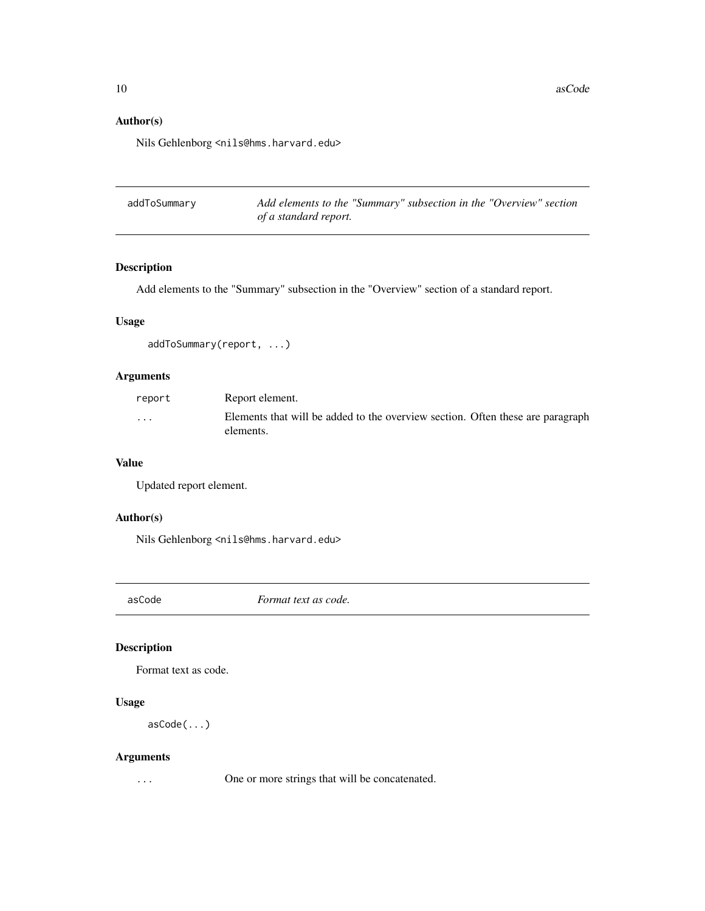# <span id="page-9-0"></span>Author(s)

Nils Gehlenborg <nils@hms.harvard.edu>

| addToSummary | Add elements to the "Summary" subsection in the "Overview" section |
|--------------|--------------------------------------------------------------------|
|              | of a standard report.                                              |

# Description

Add elements to the "Summary" subsection in the "Overview" section of a standard report.

# Usage

```
addToSummary(report, ...)
```
# Arguments

| report                  | Report element.                                                                             |
|-------------------------|---------------------------------------------------------------------------------------------|
| $\cdot$ $\cdot$ $\cdot$ | Elements that will be added to the overview section. Often these are paragraph<br>elements. |

# Value

Updated report element.

## Author(s)

Nils Gehlenborg <nils@hms.harvard.edu>

asCode *Format text as code.*

# Description

Format text as code.

# Usage

asCode(...)

# Arguments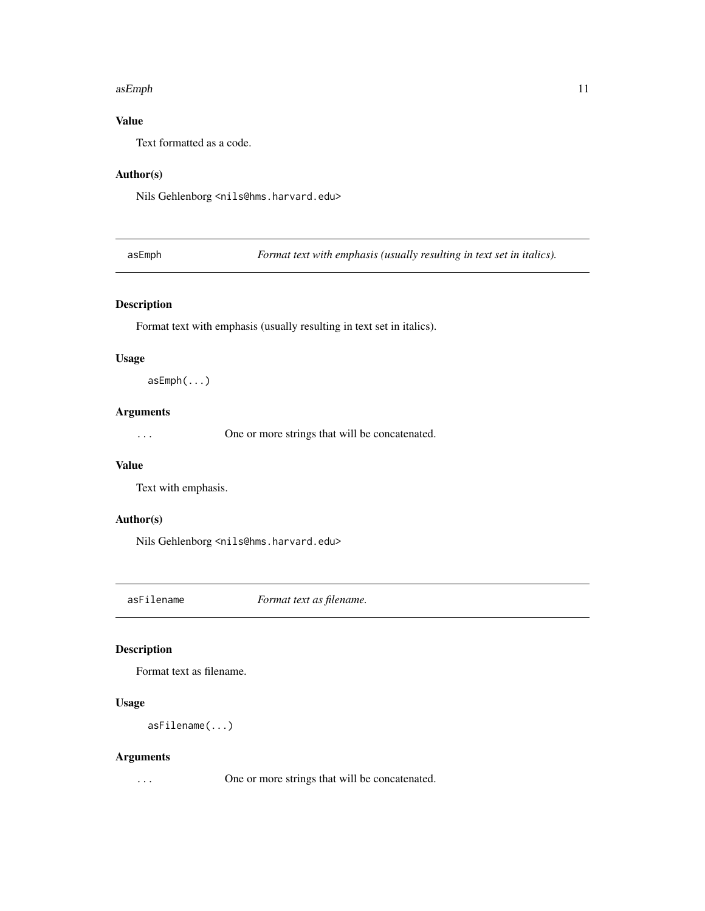#### <span id="page-10-0"></span>asEmph 11

# Value

Text formatted as a code.

# Author(s)

Nils Gehlenborg <nils@hms.harvard.edu>

asEmph *Format text with emphasis (usually resulting in text set in italics).*

# Description

Format text with emphasis (usually resulting in text set in italics).

#### Usage

asEmph(...)

#### Arguments

... One or more strings that will be concatenated.

#### Value

Text with emphasis.

# Author(s)

Nils Gehlenborg <nils@hms.harvard.edu>

asFilename *Format text as filename.*

# Description

Format text as filename.

# Usage

asFilename(...)

# Arguments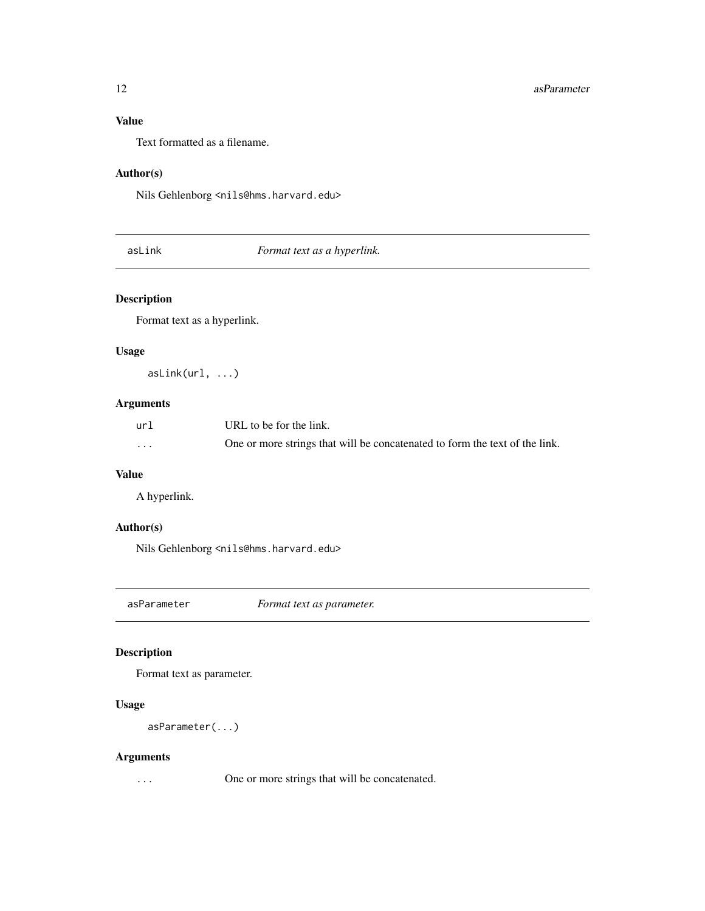# <span id="page-11-0"></span>Value

Text formatted as a filename.

# Author(s)

Nils Gehlenborg <nils@hms.harvard.edu>

# asLink *Format text as a hyperlink.*

# Description

Format text as a hyperlink.

#### Usage

asLink(url, ...)

# Arguments

| url      | URL to be for the link.                                                     |
|----------|-----------------------------------------------------------------------------|
| $\cdots$ | One or more strings that will be concatenated to form the text of the link. |

# Value

A hyperlink.

#### Author(s)

Nils Gehlenborg <nils@hms.harvard.edu>

asParameter *Format text as parameter.*

# Description

Format text as parameter.

# Usage

asParameter(...)

# Arguments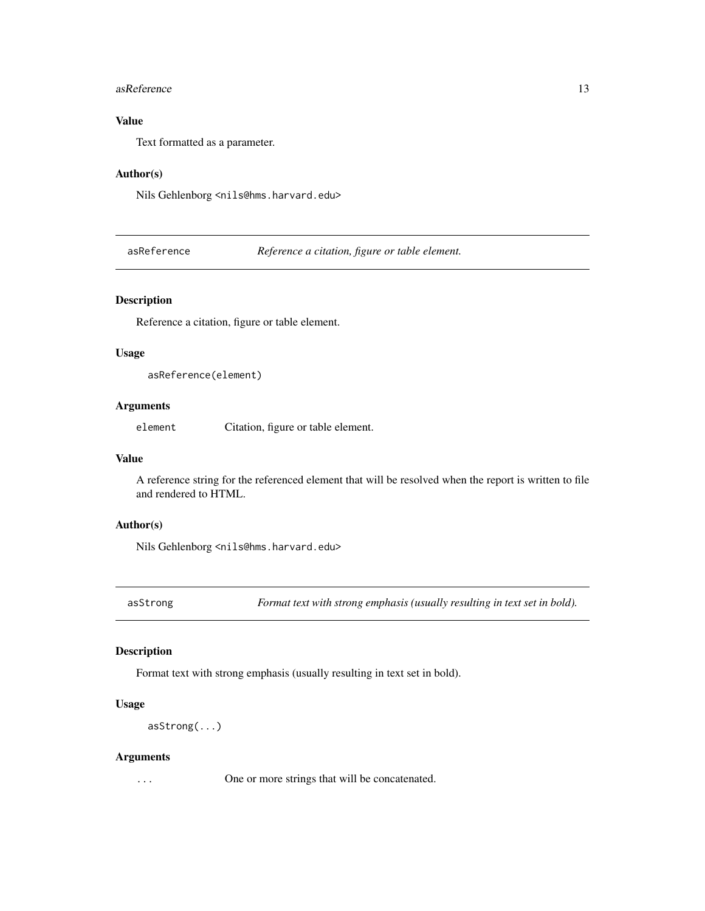#### <span id="page-12-0"></span>asReference 13

# Value

Text formatted as a parameter.

# Author(s)

Nils Gehlenborg <nils@hms.harvard.edu>

asReference *Reference a citation, figure or table element.*

#### Description

Reference a citation, figure or table element.

#### Usage

```
asReference(element)
```
#### Arguments

element Citation, figure or table element.

#### Value

A reference string for the referenced element that will be resolved when the report is written to file and rendered to HTML.

#### Author(s)

Nils Gehlenborg <nils@hms.harvard.edu>

asStrong *Format text with strong emphasis (usually resulting in text set in bold).*

#### Description

Format text with strong emphasis (usually resulting in text set in bold).

#### Usage

```
asStrong(...)
```
#### Arguments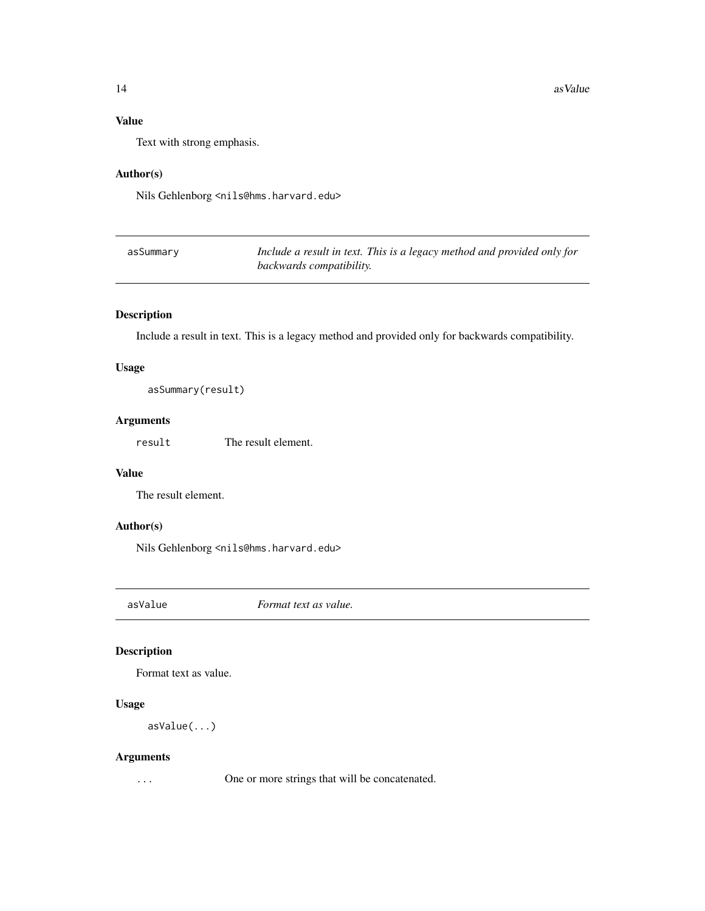# Value

Text with strong emphasis.

# Author(s)

Nils Gehlenborg <nils@hms.harvard.edu>

| asSummary | Include a result in text. This is a legacy method and provided only for |
|-----------|-------------------------------------------------------------------------|
|           | backwards compatibility.                                                |

# Description

Include a result in text. This is a legacy method and provided only for backwards compatibility.

## Usage

asSummary(result)

# Arguments

result The result element.

#### Value

The result element.

# Author(s)

Nils Gehlenborg <nils@hms.harvard.edu>

asValue *Format text as value.*

# Description

Format text as value.

# Usage

asValue(...)

# Arguments

<span id="page-13-0"></span>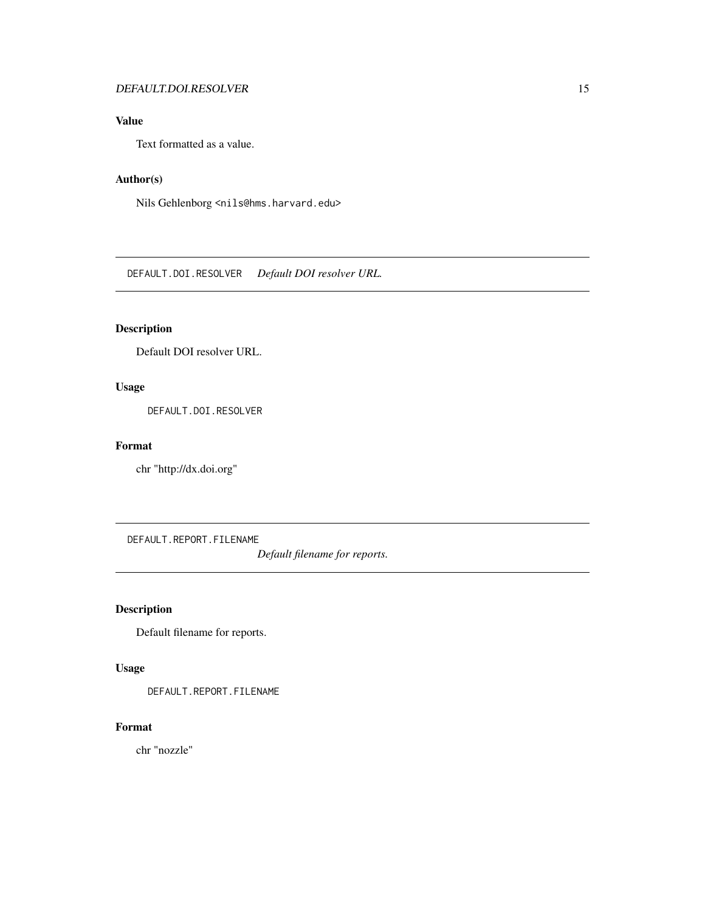# <span id="page-14-0"></span>DEFAULT.DOI.RESOLVER 15

# Value

Text formatted as a value.

# Author(s)

Nils Gehlenborg <nils@hms.harvard.edu>

DEFAULT.DOI.RESOLVER *Default DOI resolver URL.*

# Description

Default DOI resolver URL.

# Usage

DEFAULT.DOI.RESOLVER

# Format

chr "http://dx.doi.org"

DEFAULT.REPORT.FILENAME

*Default filename for reports.*

# Description

Default filename for reports.

# Usage

DEFAULT.REPORT.FILENAME

#### Format

chr "nozzle"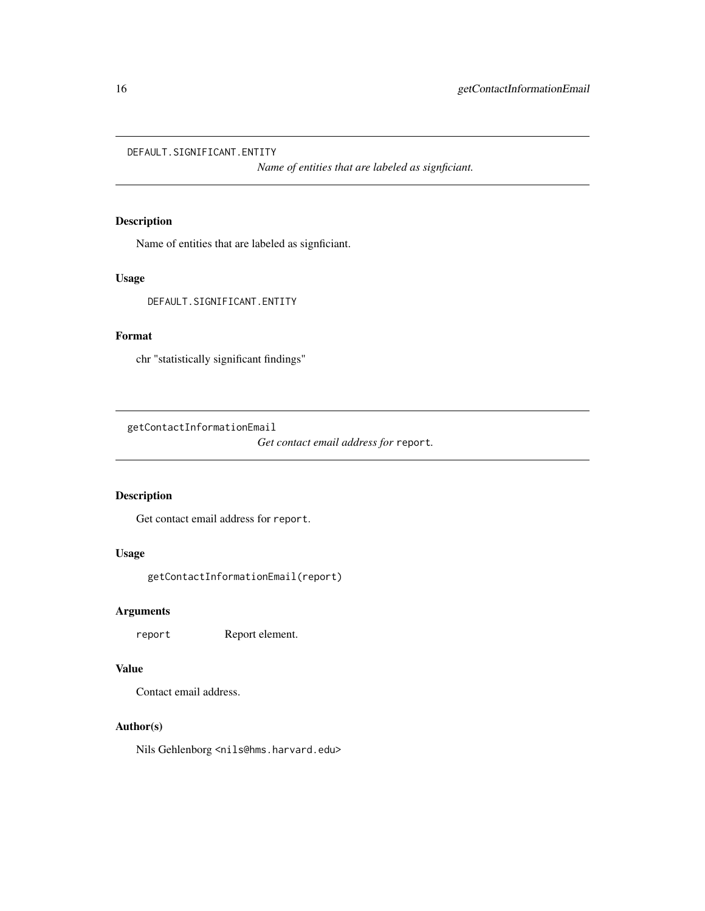<span id="page-15-0"></span>DEFAULT.SIGNIFICANT.ENTITY

*Name of entities that are labeled as signficiant.*

# Description

Name of entities that are labeled as signficiant.

# Usage

DEFAULT.SIGNIFICANT.ENTITY

# Format

chr "statistically significant findings"

getContactInformationEmail

*Get contact email address for* report*.*

# Description

Get contact email address for report.

# Usage

getContactInformationEmail(report)

# Arguments

report Report element.

#### Value

Contact email address.

# Author(s)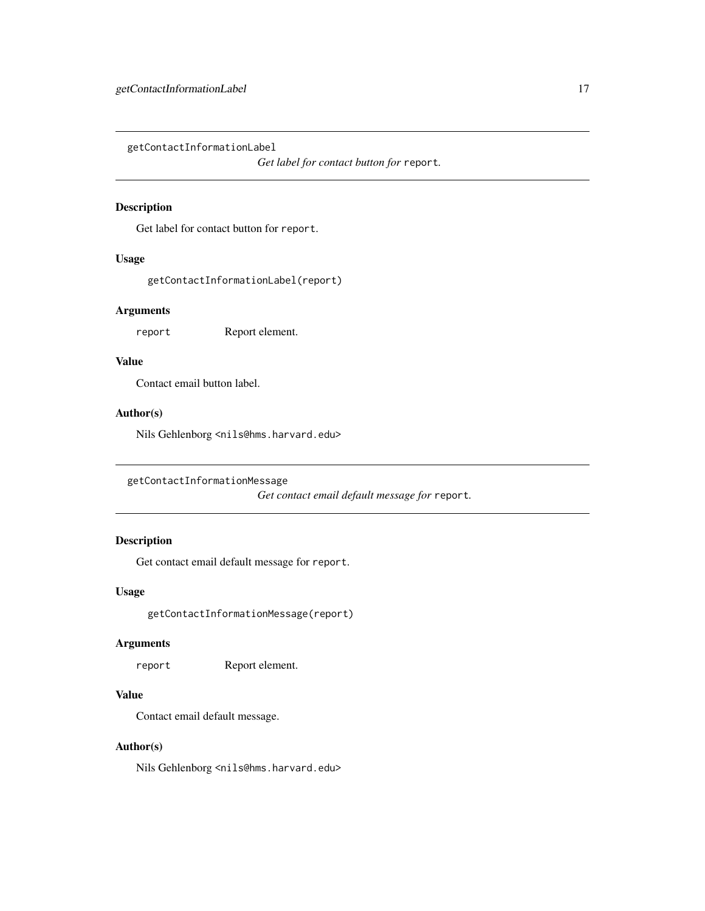<span id="page-16-0"></span>getContactInformationLabel

*Get label for contact button for* report*.*

# Description

Get label for contact button for report.

#### Usage

getContactInformationLabel(report)

## Arguments

report Report element.

#### Value

Contact email button label.

# Author(s)

Nils Gehlenborg <nils@hms.harvard.edu>

getContactInformationMessage

*Get contact email default message for* report*.*

# Description

Get contact email default message for report.

#### Usage

getContactInformationMessage(report)

#### Arguments

report Report element.

# Value

Contact email default message.

#### Author(s)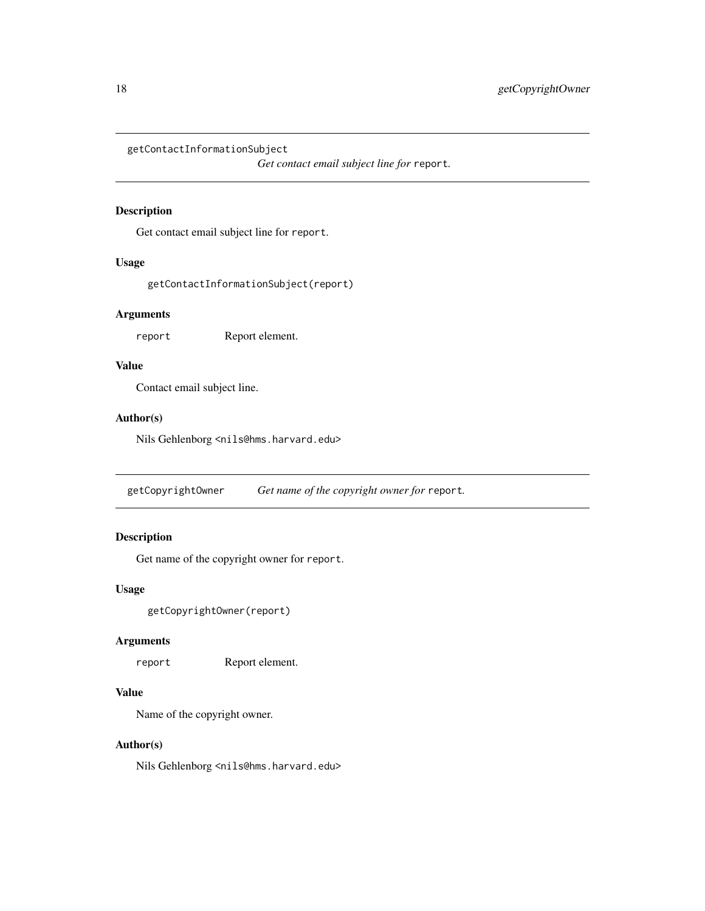<span id="page-17-0"></span>getContactInformationSubject

*Get contact email subject line for* report*.*

#### Description

Get contact email subject line for report.

# Usage

getContactInformationSubject(report)

#### Arguments

report Report element.

# Value

Contact email subject line.

#### Author(s)

Nils Gehlenborg <nils@hms.harvard.edu>

getCopyrightOwner *Get name of the copyright owner for* report*.*

# Description

Get name of the copyright owner for report.

# Usage

getCopyrightOwner(report)

#### Arguments

report Report element.

# Value

Name of the copyright owner.

#### Author(s)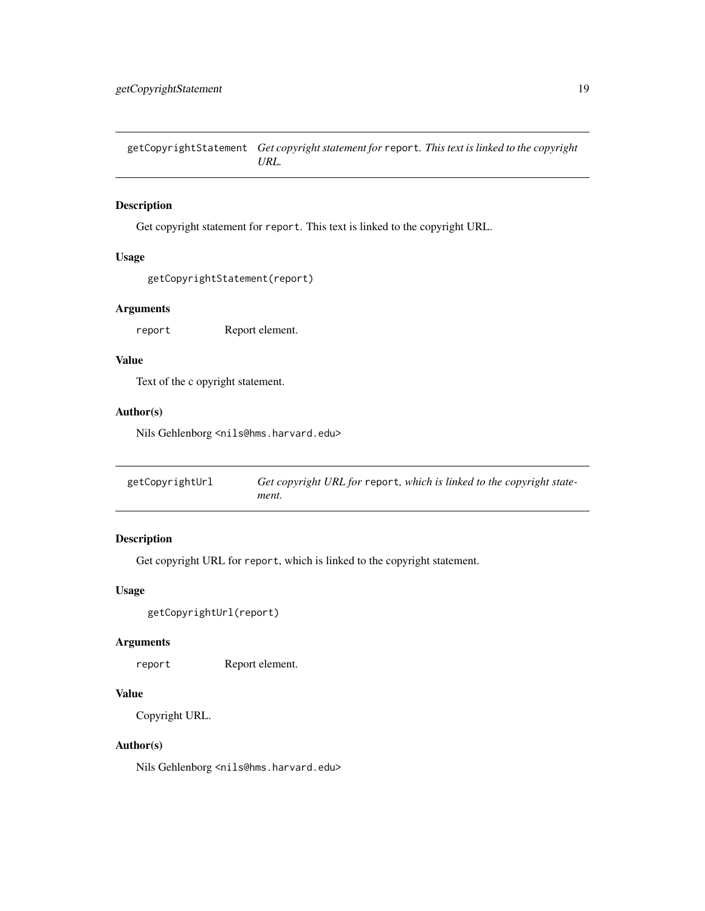<span id="page-18-0"></span>getCopyrightStatement *Get copyright statement for* report*. This text is linked to the copyright URL.*

#### Description

Get copyright statement for report. This text is linked to the copyright URL.

# Usage

```
getCopyrightStatement(report)
```
#### Arguments

report Report element.

# Value

Text of the c opyright statement.

#### Author(s)

Nils Gehlenborg <nils@hms.harvard.edu>

| getCopyrightUrl | Get copyright URL for report, which is linked to the copyright state- |
|-----------------|-----------------------------------------------------------------------|
|                 | ment.                                                                 |

# Description

Get copyright URL for report, which is linked to the copyright statement.

# Usage

```
getCopyrightUrl(report)
```
#### Arguments

report Report element.

# Value

Copyright URL.

# Author(s)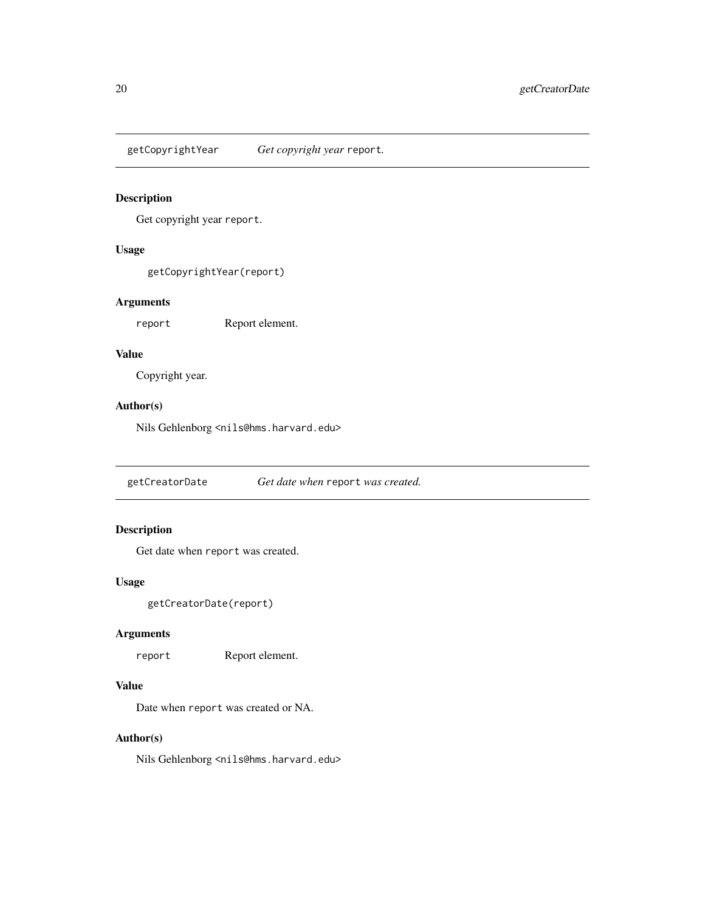<span id="page-19-0"></span>getCopyrightYear *Get copyright year* report*.*

# Description

Get copyright year report.

#### Usage

getCopyrightYear(report)

# Arguments

report Report element.

# Value

Copyright year.

# Author(s)

Nils Gehlenborg <nils@hms.harvard.edu>

getCreatorDate *Get date when* report *was created.*

# Description

Get date when report was created.

# Usage

getCreatorDate(report)

# Arguments

report Report element.

#### Value

Date when report was created or NA.

# Author(s)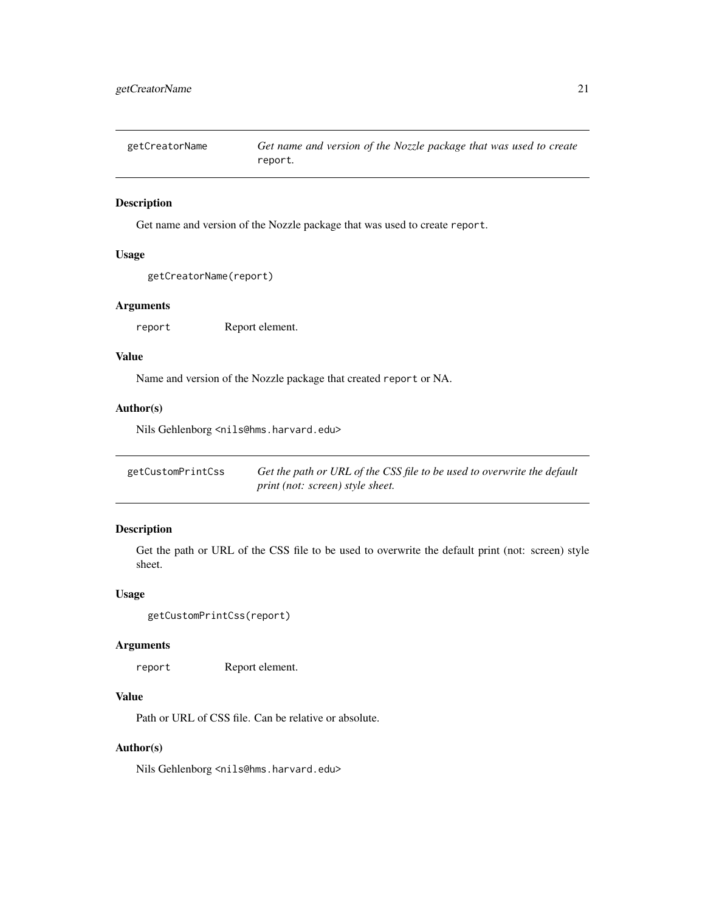<span id="page-20-0"></span>getCreatorName *Get name and version of the Nozzle package that was used to create* report*.*

## Description

Get name and version of the Nozzle package that was used to create report.

# Usage

```
getCreatorName(report)
```
#### Arguments

report Report element.

#### Value

Name and version of the Nozzle package that created report or NA.

#### Author(s)

Nils Gehlenborg <nils@hms.harvard.edu>

| getCustomPrintCss | Get the path or URL of the CSS file to be used to overwrite the default |
|-------------------|-------------------------------------------------------------------------|
|                   | print (not: screen) style sheet.                                        |

# Description

Get the path or URL of the CSS file to be used to overwrite the default print (not: screen) style sheet.

# Usage

```
getCustomPrintCss(report)
```
# Arguments

report Report element.

# Value

Path or URL of CSS file. Can be relative or absolute.

# Author(s)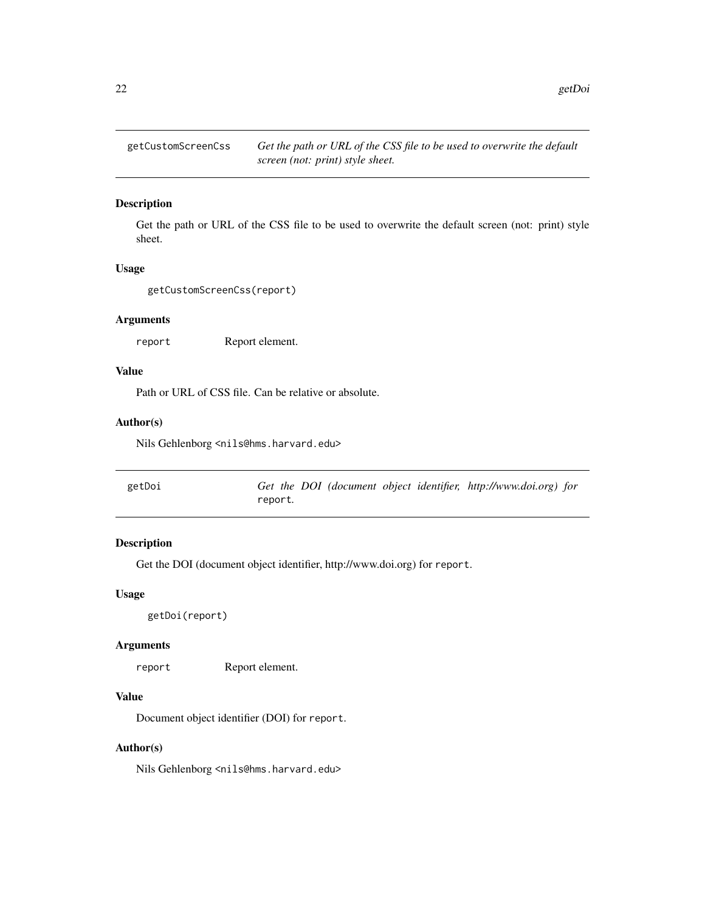<span id="page-21-0"></span>

Get the path or URL of the CSS file to be used to overwrite the default screen (not: print) style sheet.

# Usage

getCustomScreenCss(report)

# Arguments

report Report element.

# Value

Path or URL of CSS file. Can be relative or absolute.

#### Author(s)

Nils Gehlenborg <nils@hms.harvard.edu>

| getDoi |         |  | Get the DOI (document object identifier, http://www.doi.org) for |  |
|--------|---------|--|------------------------------------------------------------------|--|
|        | report. |  |                                                                  |  |

# Description

Get the DOI (document object identifier, http://www.doi.org) for report.

# Usage

```
getDoi(report)
```
# Arguments

report Report element.

#### Value

Document object identifier (DOI) for report.

# Author(s)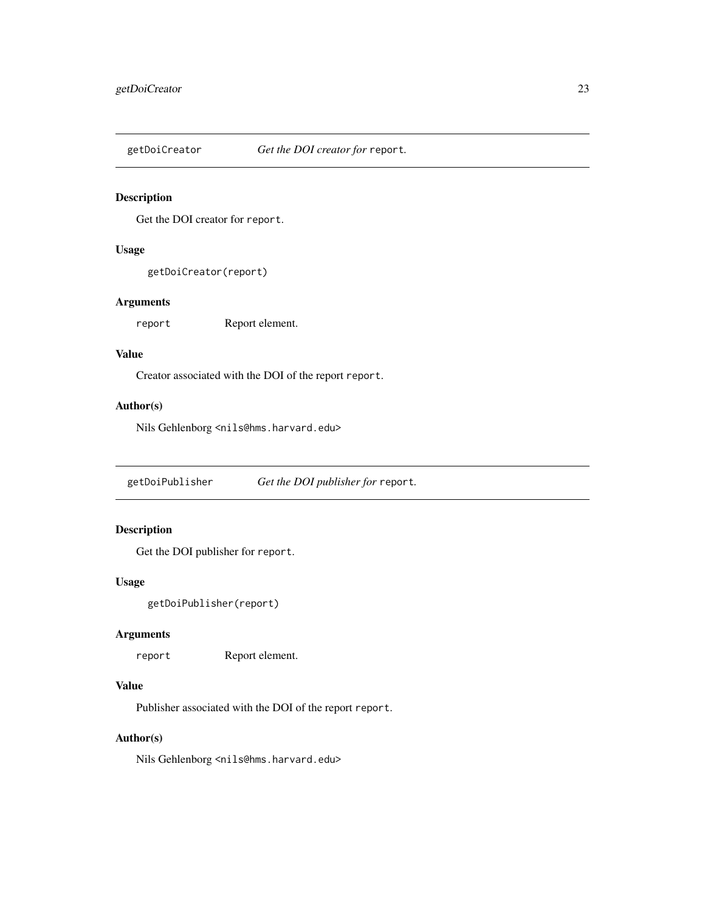<span id="page-22-0"></span>

Get the DOI creator for report.

#### Usage

getDoiCreator(report)

# Arguments

report Report element.

# Value

Creator associated with the DOI of the report report.

# Author(s)

Nils Gehlenborg <nils@hms.harvard.edu>

getDoiPublisher *Get the DOI publisher for* report*.*

# Description

Get the DOI publisher for report.

#### Usage

getDoiPublisher(report)

#### Arguments

report Report element.

#### Value

Publisher associated with the DOI of the report report.

# Author(s)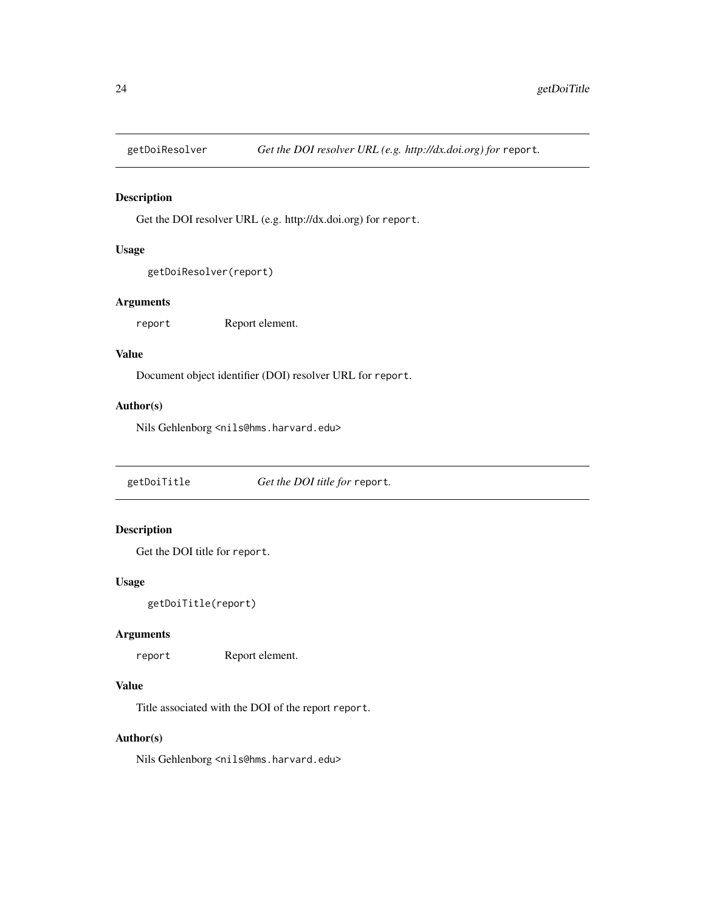<span id="page-23-0"></span>

Get the DOI resolver URL (e.g. http://dx.doi.org) for report.

#### Usage

```
getDoiResolver(report)
```
# Arguments

report Report element.

# Value

Document object identifier (DOI) resolver URL for report.

#### Author(s)

Nils Gehlenborg <nils@hms.harvard.edu>

getDoiTitle *Get the DOI title for* report*.*

# Description

Get the DOI title for report.

#### Usage

```
getDoiTitle(report)
```
#### Arguments

report Report element.

#### Value

Title associated with the DOI of the report report.

# Author(s)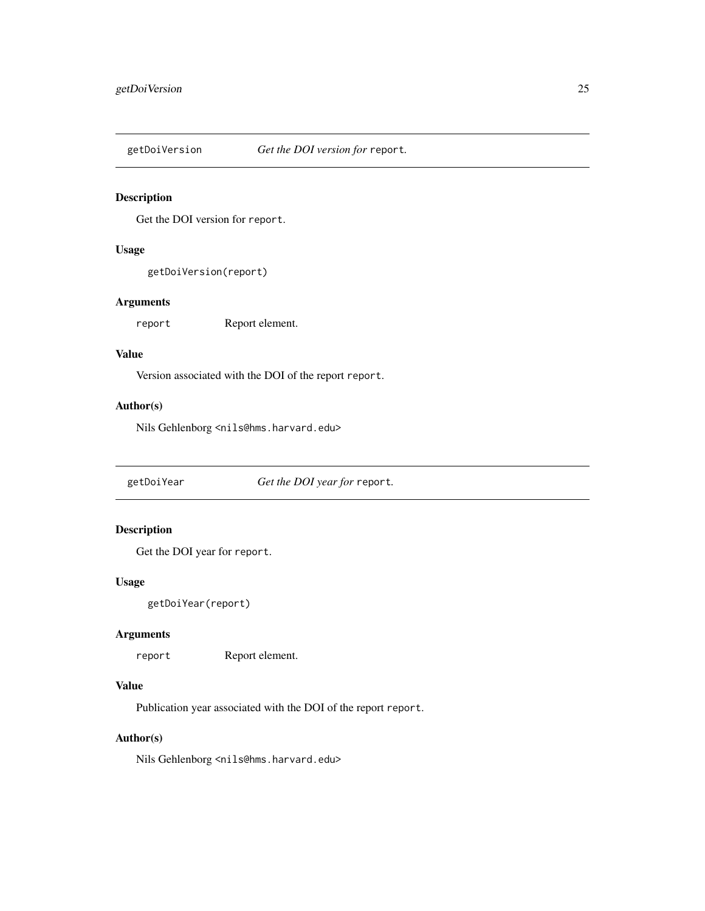<span id="page-24-0"></span>

Get the DOI version for report.

#### Usage

getDoiVersion(report)

# Arguments

report Report element.

# Value

Version associated with the DOI of the report report.

# Author(s)

Nils Gehlenborg <nils@hms.harvard.edu>

getDoiYear *Get the DOI year for* report*.*

# Description

Get the DOI year for report.

#### Usage

getDoiYear(report)

# Arguments

report Report element.

#### Value

Publication year associated with the DOI of the report report.

# Author(s)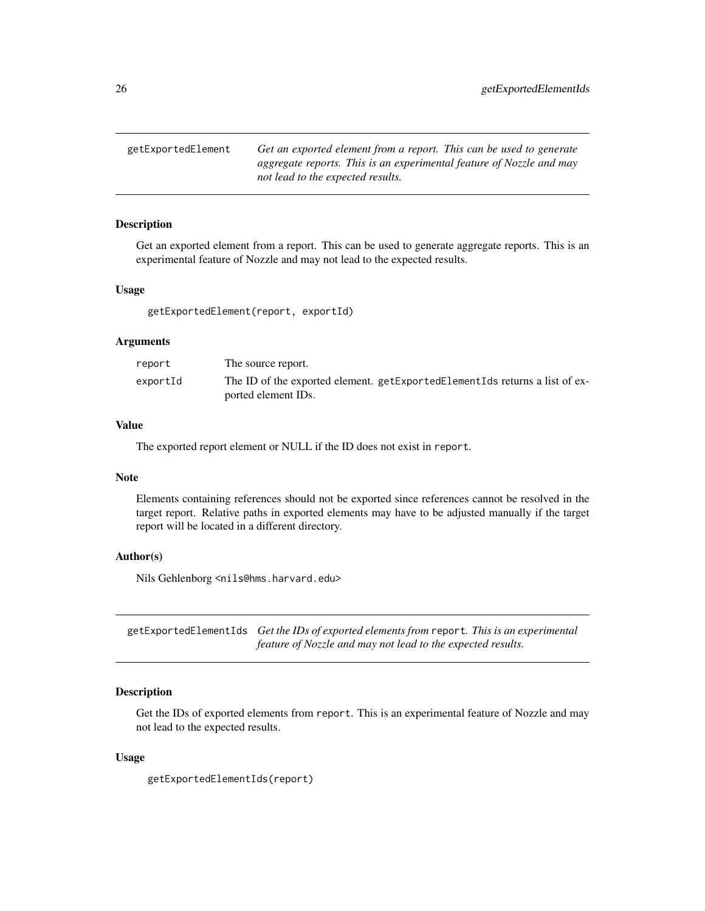<span id="page-25-0"></span>getExportedElement *Get an exported element from a report. This can be used to generate aggregate reports. This is an experimental feature of Nozzle and may not lead to the expected results.*

#### Description

Get an exported element from a report. This can be used to generate aggregate reports. This is an experimental feature of Nozzle and may not lead to the expected results.

#### Usage

getExportedElement(report, exportId)

#### Arguments

| report   | The source report.                                                                                 |
|----------|----------------------------------------------------------------------------------------------------|
| exportId | The ID of the exported element. getExportedElementIds returns a list of ex-<br>ported element IDs. |

#### Value

The exported report element or NULL if the ID does not exist in report.

#### Note

Elements containing references should not be exported since references cannot be resolved in the target report. Relative paths in exported elements may have to be adjusted manually if the target report will be located in a different directory.

#### Author(s)

Nils Gehlenborg <nils@hms.harvard.edu>

getExportedElementIds *Get the IDs of exported elements from* report*. This is an experimental feature of Nozzle and may not lead to the expected results.*

#### **Description**

Get the IDs of exported elements from report. This is an experimental feature of Nozzle and may not lead to the expected results.

#### Usage

getExportedElementIds(report)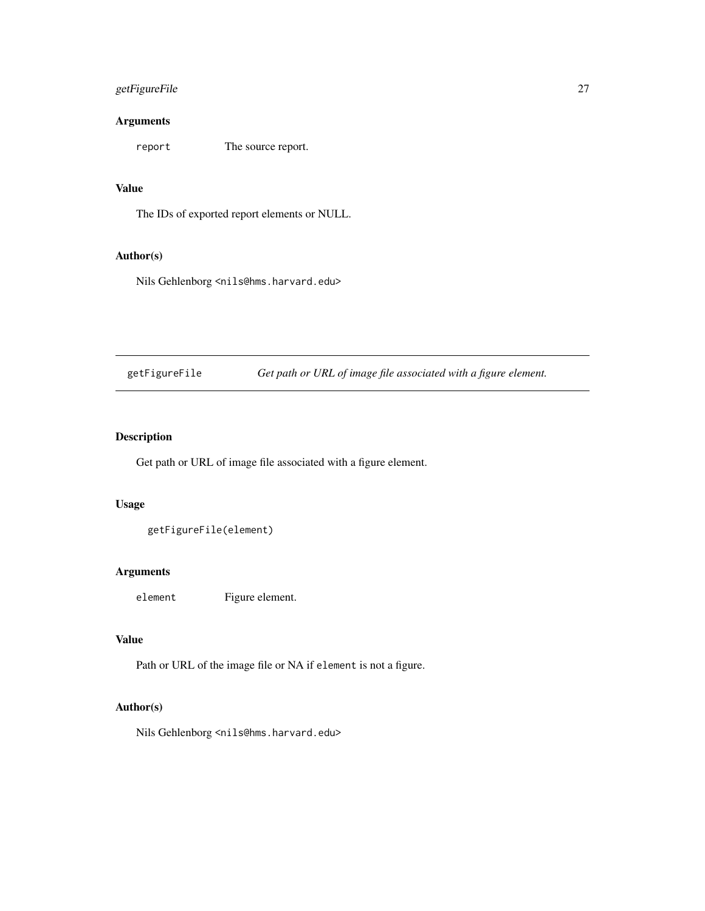# <span id="page-26-0"></span>getFigureFile 27

# Arguments

report The source report.

#### Value

The IDs of exported report elements or NULL.

#### Author(s)

Nils Gehlenborg <nils@hms.harvard.edu>

getFigureFile *Get path or URL of image file associated with a figure element.*

#### Description

Get path or URL of image file associated with a figure element.

#### Usage

getFigureFile(element)

#### Arguments

element Figure element.

# Value

Path or URL of the image file or NA if element is not a figure.

#### Author(s)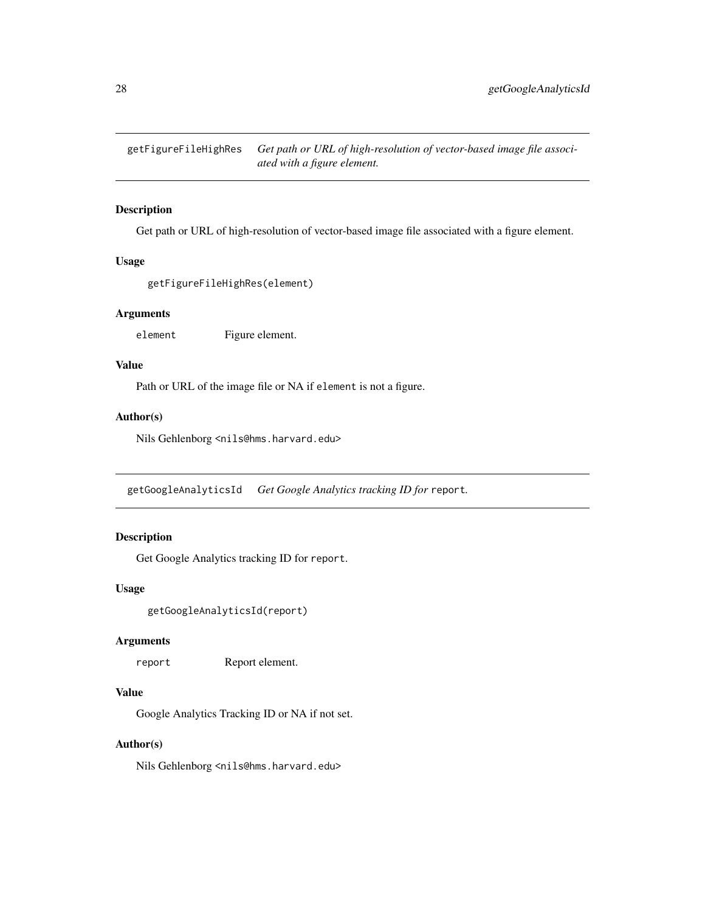<span id="page-27-0"></span>getFigureFileHighRes *Get path or URL of high-resolution of vector-based image file associated with a figure element.*

## Description

Get path or URL of high-resolution of vector-based image file associated with a figure element.

#### Usage

getFigureFileHighRes(element)

# Arguments

element Figure element.

# Value

Path or URL of the image file or NA if element is not a figure.

## Author(s)

Nils Gehlenborg <nils@hms.harvard.edu>

getGoogleAnalyticsId *Get Google Analytics tracking ID for* report*.*

# Description

Get Google Analytics tracking ID for report.

# Usage

getGoogleAnalyticsId(report)

#### Arguments

report Report element.

# Value

Google Analytics Tracking ID or NA if not set.

#### Author(s)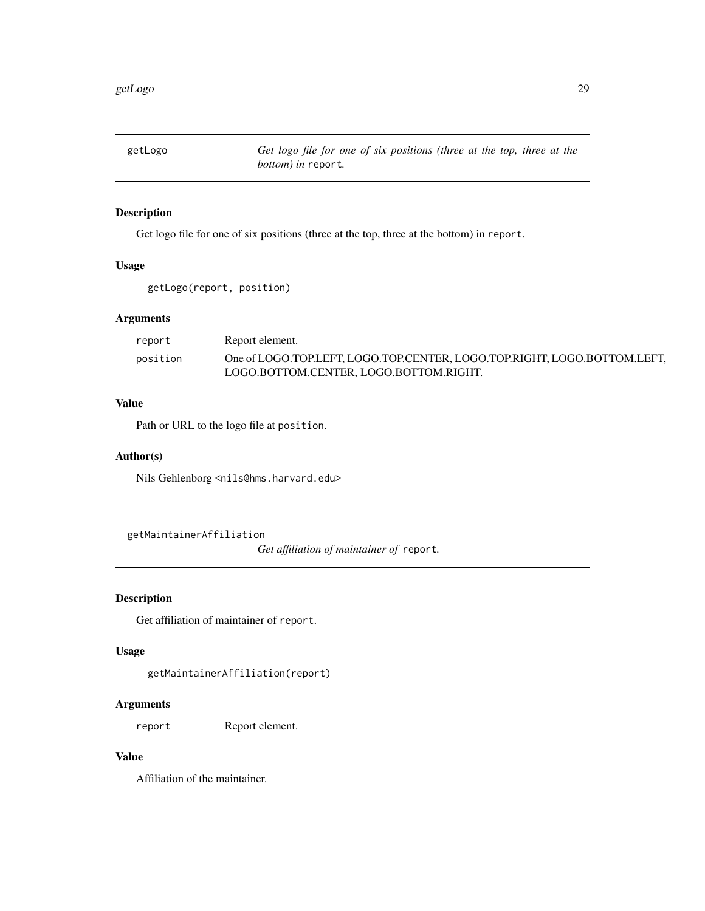<span id="page-28-0"></span>getLogo *Get logo file for one of six positions (three at the top, three at the bottom) in* report*.*

# Description

Get logo file for one of six positions (three at the top, three at the bottom) in report.

# Usage

getLogo(report, position)

#### Arguments

| report   | Report element.                                                          |
|----------|--------------------------------------------------------------------------|
| position | One of LOGO.TOP.LEFT. LOGO.TOP.CENTER. LOGO.TOP.RIGHT. LOGO.BOTTOM.LEFT. |
|          | LOGO.BOTTOM.CENTER, LOGO.BOTTOM.RIGHT.                                   |

#### Value

Path or URL to the logo file at position.

#### Author(s)

Nils Gehlenborg <nils@hms.harvard.edu>

getMaintainerAffiliation

*Get affiliation of maintainer of* report*.*

# Description

Get affiliation of maintainer of report.

# Usage

getMaintainerAffiliation(report)

# Arguments

report Report element.

# Value

Affiliation of the maintainer.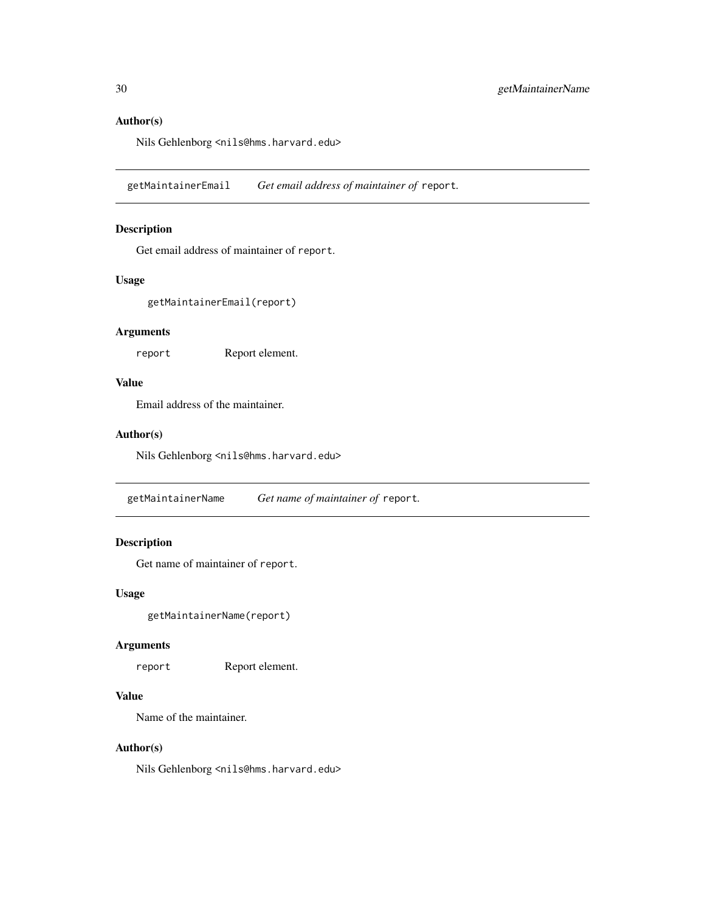# Author(s)

Nils Gehlenborg <nils@hms.harvard.edu>

getMaintainerEmail *Get email address of maintainer of* report*.*

# Description

Get email address of maintainer of report.

#### Usage

getMaintainerEmail(report)

#### Arguments

report Report element.

#### Value

Email address of the maintainer.

#### Author(s)

Nils Gehlenborg <nils@hms.harvard.edu>

getMaintainerName *Get name of maintainer of* report*.*

#### Description

Get name of maintainer of report.

#### Usage

getMaintainerName(report)

# Arguments

report Report element.

#### Value

Name of the maintainer.

#### Author(s)

<span id="page-29-0"></span>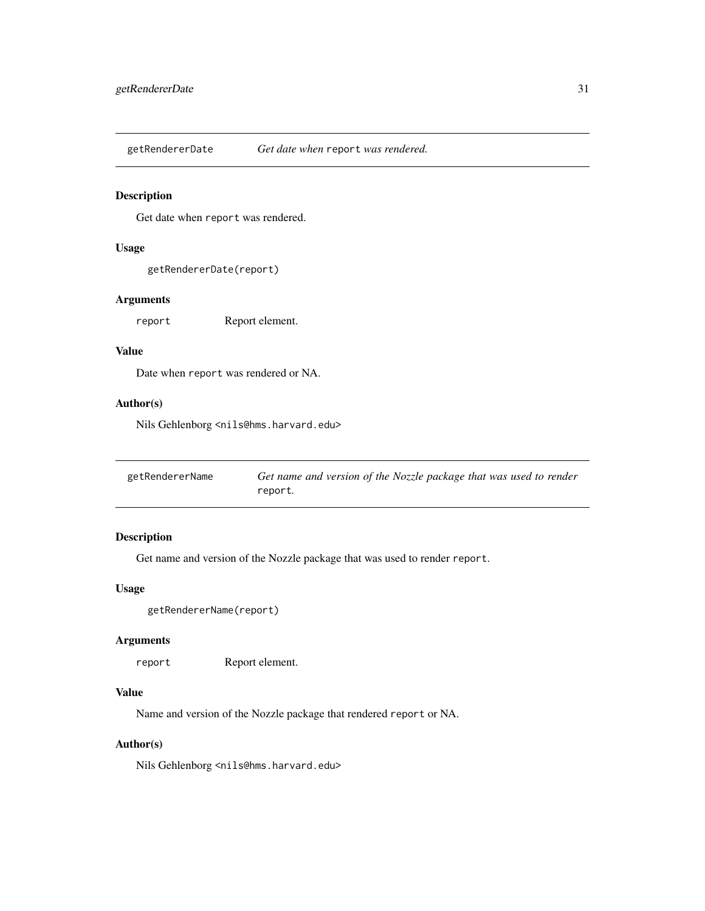<span id="page-30-0"></span>getRendererDate *Get date when* report *was rendered.*

# Description

Get date when report was rendered.

#### Usage

getRendererDate(report)

#### Arguments

report Report element.

# Value

Date when report was rendered or NA.

#### Author(s)

Nils Gehlenborg <nils@hms.harvard.edu>

| getRendererName | Get name and version of the Nozzle package that was used to render |
|-----------------|--------------------------------------------------------------------|
|                 | report.                                                            |

# Description

Get name and version of the Nozzle package that was used to render report.

# Usage

```
getRendererName(report)
```
#### Arguments

report Report element.

#### Value

Name and version of the Nozzle package that rendered report or NA.

#### Author(s)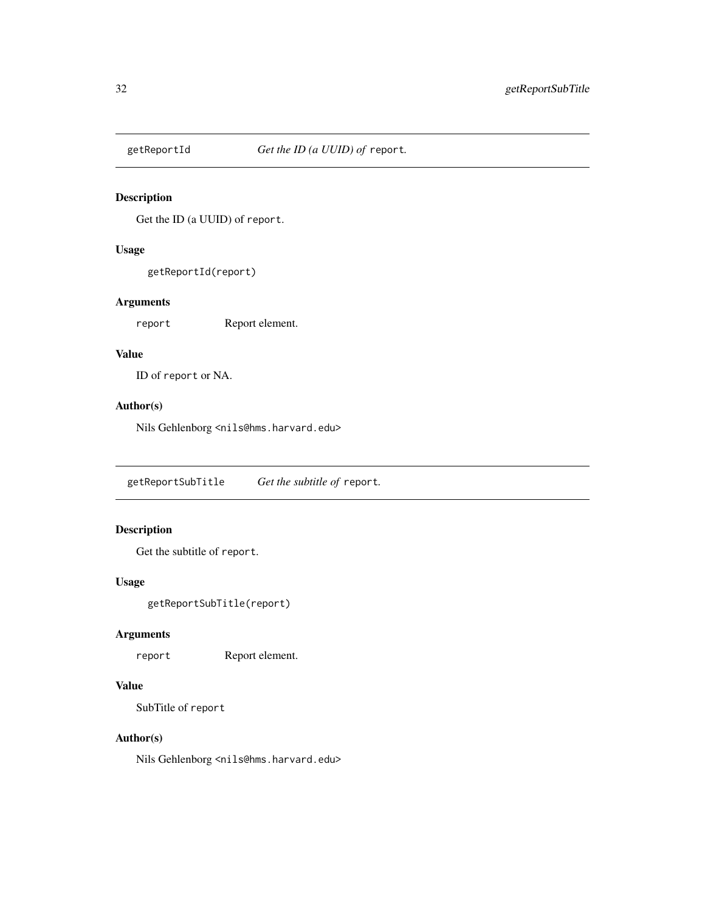<span id="page-31-0"></span>

Get the ID (a UUID) of report.

# Usage

```
getReportId(report)
```
# Arguments

report Report element.

# Value

ID of report or NA.

# Author(s)

Nils Gehlenborg <nils@hms.harvard.edu>

getReportSubTitle *Get the subtitle of* report*.*

# Description

Get the subtitle of report.

# Usage

getReportSubTitle(report)

# Arguments

report Report element.

#### Value

SubTitle of report

# Author(s)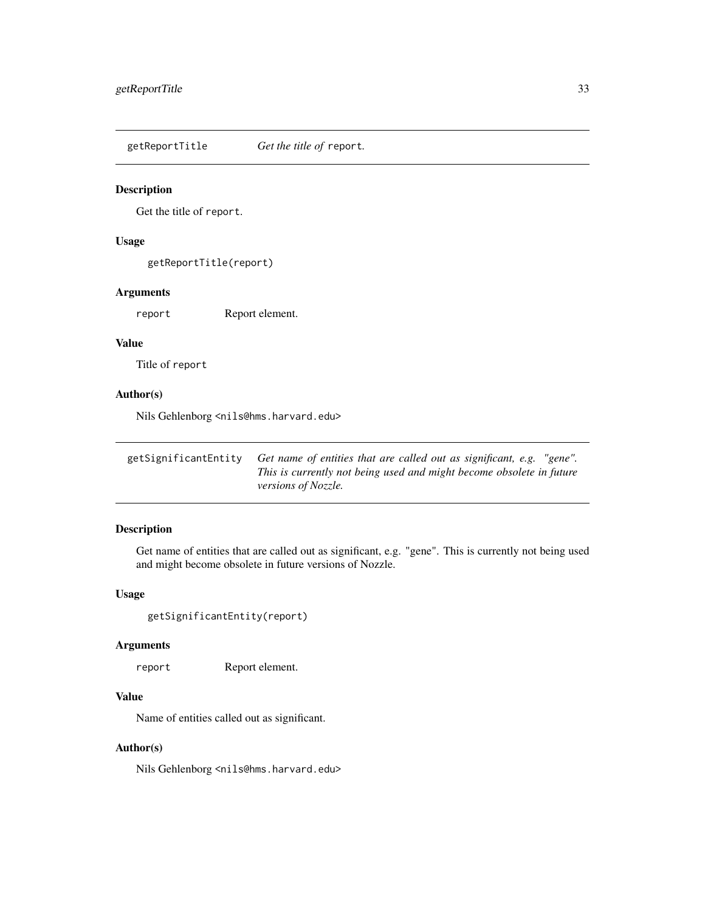<span id="page-32-0"></span>getReportTitle *Get the title of* report*.*

# Description

Get the title of report.

# Usage

getReportTitle(report)

#### Arguments

report Report element.

#### Value

Title of report

# Author(s)

Nils Gehlenborg <nils@hms.harvard.edu>

| getSignificantEntity Get name of entities that are called out as significant, e.g. "gene". |
|--------------------------------------------------------------------------------------------|
| This is currently not being used and might become obsolete in future                       |
| <i>versions of Nozzle.</i>                                                                 |

# Description

Get name of entities that are called out as significant, e.g. "gene". This is currently not being used and might become obsolete in future versions of Nozzle.

#### Usage

```
getSignificantEntity(report)
```
# Arguments

report Report element.

# Value

Name of entities called out as significant.

# Author(s)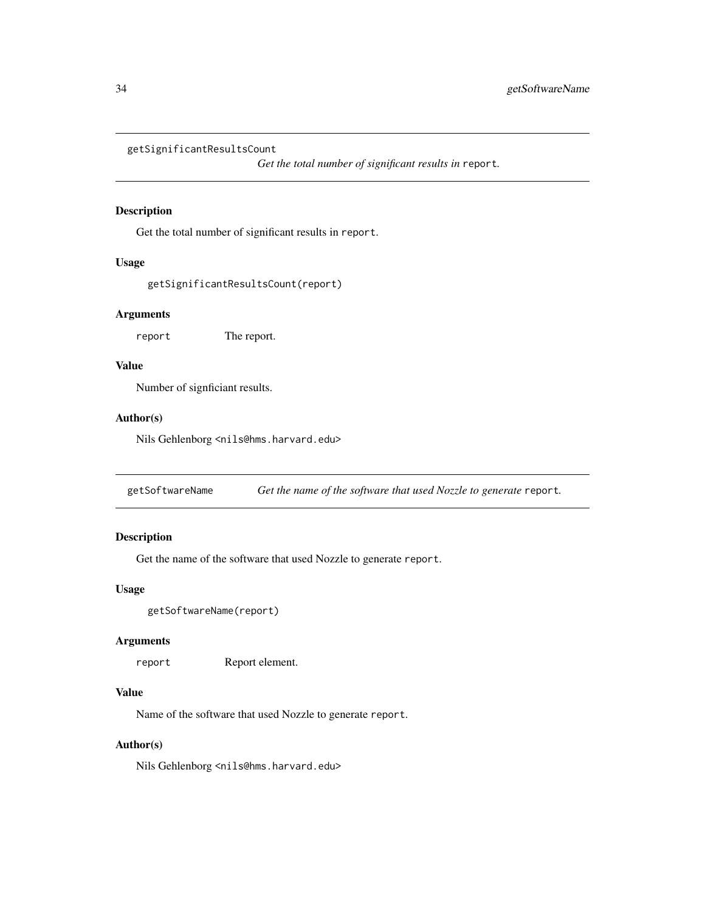```
getSignificantResultsCount
```
*Get the total number of significant results in* report*.*

#### Description

Get the total number of significant results in report.

#### Usage

getSignificantResultsCount(report)

#### Arguments

report The report.

# Value

Number of signficiant results.

#### Author(s)

Nils Gehlenborg <nils@hms.harvard.edu>

getSoftwareName *Get the name of the software that used Nozzle to generate* report*.*

# Description

Get the name of the software that used Nozzle to generate report.

# Usage

```
getSoftwareName(report)
```
#### Arguments

report Report element.

#### Value

Name of the software that used Nozzle to generate report.

#### Author(s)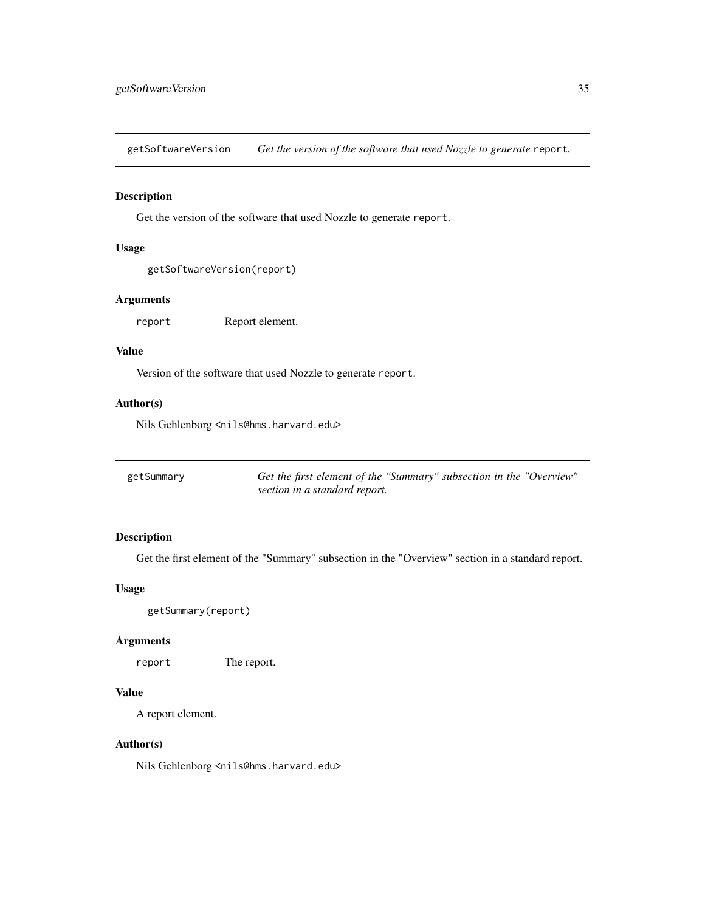<span id="page-34-0"></span>getSoftwareVersion *Get the version of the software that used Nozzle to generate* report*.*

# Description

Get the version of the software that used Nozzle to generate report.

#### Usage

```
getSoftwareVersion(report)
```
#### Arguments

report Report element.

# Value

Version of the software that used Nozzle to generate report.

#### Author(s)

Nils Gehlenborg <nils@hms.harvard.edu>

| getSummary | Get the first element of the "Summary" subsection in the "Overview" |
|------------|---------------------------------------------------------------------|
|            | section in a standard report.                                       |

# Description

Get the first element of the "Summary" subsection in the "Overview" section in a standard report.

# Usage

getSummary(report)

#### Arguments

report The report.

# Value

A report element.

#### Author(s)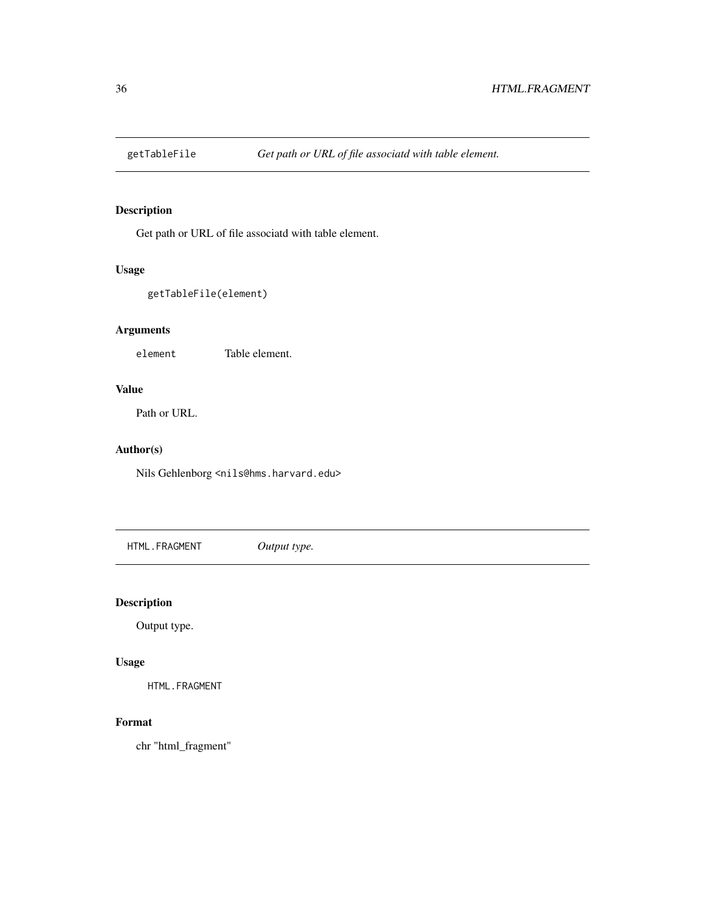<span id="page-35-0"></span>

Get path or URL of file associatd with table element.

# Usage

```
getTableFile(element)
```
# Arguments

element Table element.

# Value

Path or URL.

# Author(s)

Nils Gehlenborg <nils@hms.harvard.edu>

HTML.FRAGMENT *Output type.*

# Description

Output type.

# Usage

HTML.FRAGMENT

#### Format

chr "html\_fragment"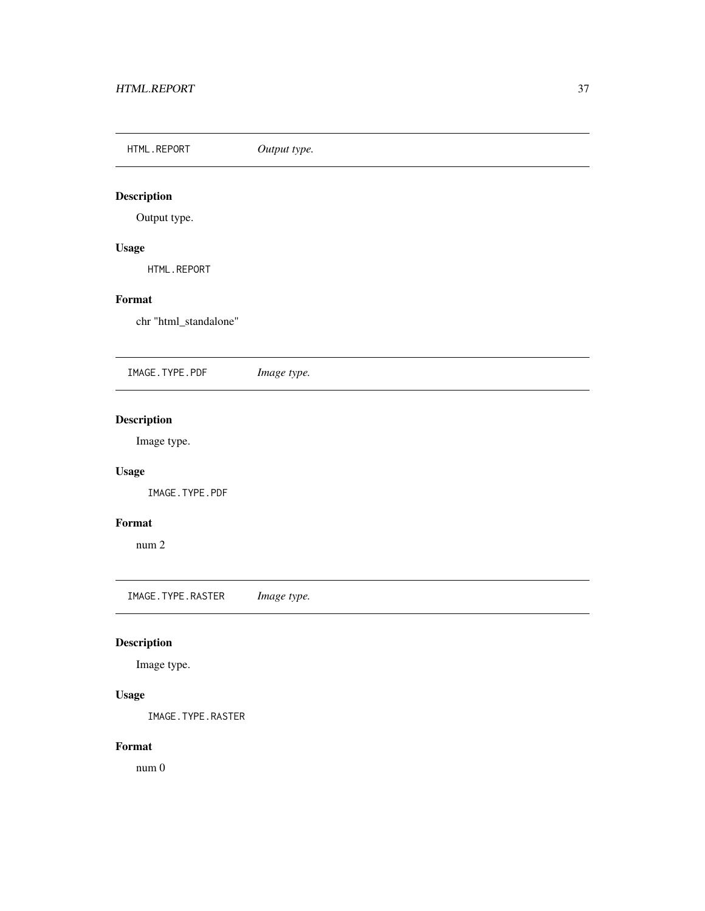HTML.REPORT *Output type.*

# Description

Output type.

## Usage

HTML.REPORT

## Format

chr "html\_standalone"

IMAGE.TYPE.PDF *Image type.*

## Description

Image type.

## Usage

IMAGE.TYPE.PDF

#### Format

num 2

IMAGE.TYPE.RASTER *Image type.*

# Description

Image type.

## Usage

IMAGE.TYPE.RASTER

#### Format

num 0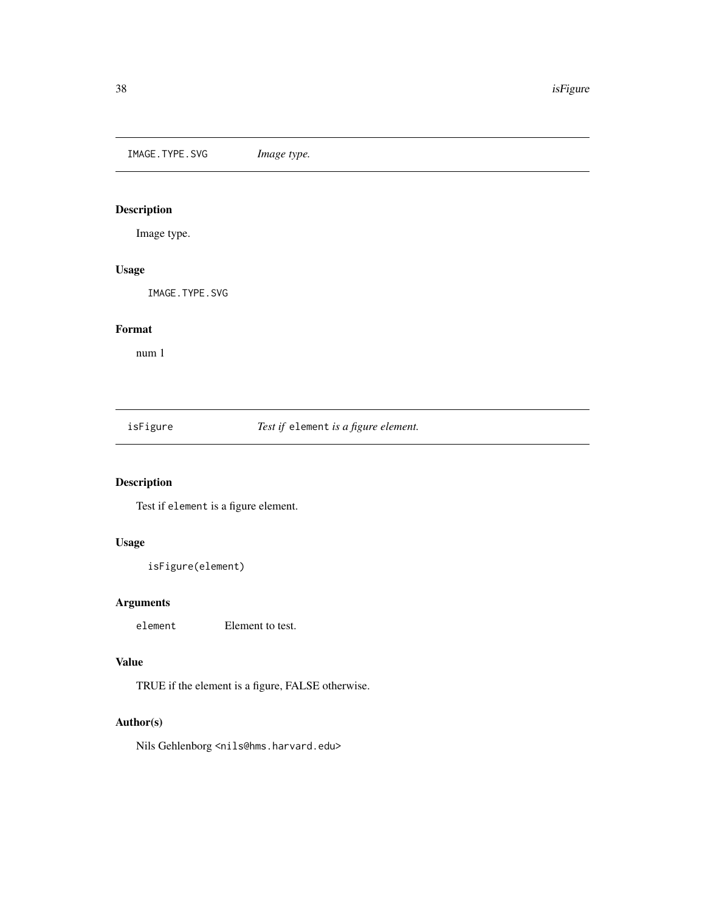IMAGE.TYPE.SVG *Image type.*

## Description

Image type.

#### Usage

IMAGE.TYPE.SVG

## Format

num 1

isFigure *Test if* element *is a figure element.*

## Description

Test if element is a figure element.

## Usage

```
isFigure(element)
```
## Arguments

element Element to test.

#### Value

TRUE if the element is a figure, FALSE otherwise.

#### Author(s)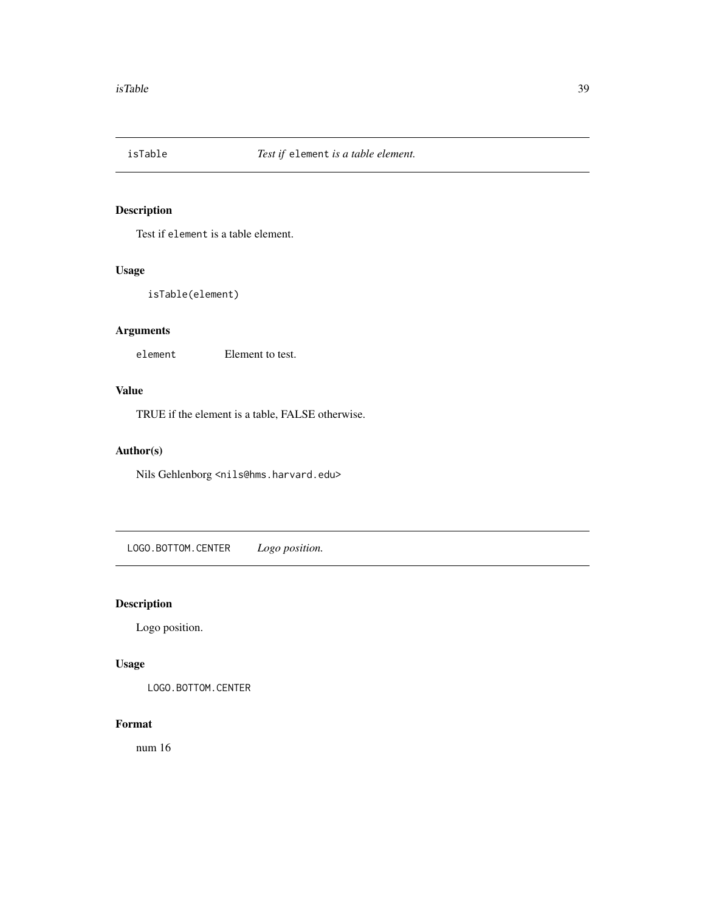## Description

Test if element is a table element.

## Usage

isTable(element)

#### Arguments

element Element to test.

## Value

TRUE if the element is a table, FALSE otherwise.

## Author(s)

Nils Gehlenborg <nils@hms.harvard.edu>

LOGO.BOTTOM.CENTER *Logo position.*

#### Description

Logo position.

## Usage

LOGO.BOTTOM.CENTER

## Format

num 16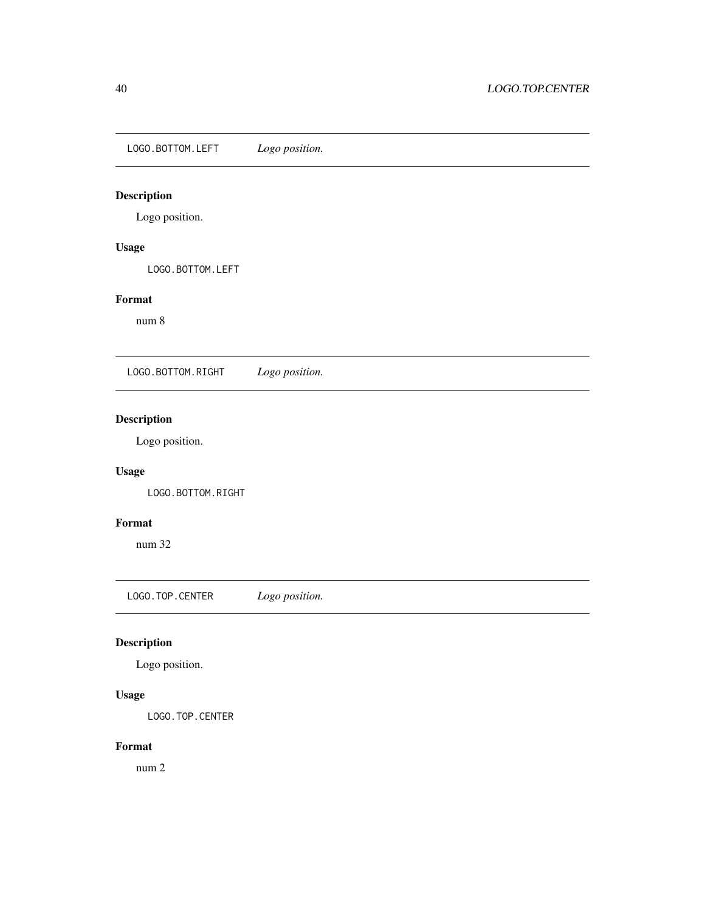LOGO.BOTTOM.LEFT *Logo position.*

#### Description

Logo position.

## Usage

LOGO.BOTTOM.LEFT

## Format

num 8

LOGO.BOTTOM.RIGHT *Logo position.*

## Description

Logo position.

## Usage

LOGO.BOTTOM.RIGHT

#### Format

num 32

LOGO.TOP.CENTER *Logo position.*

## Description

Logo position.

#### Usage

LOGO.TOP.CENTER

#### Format

num 2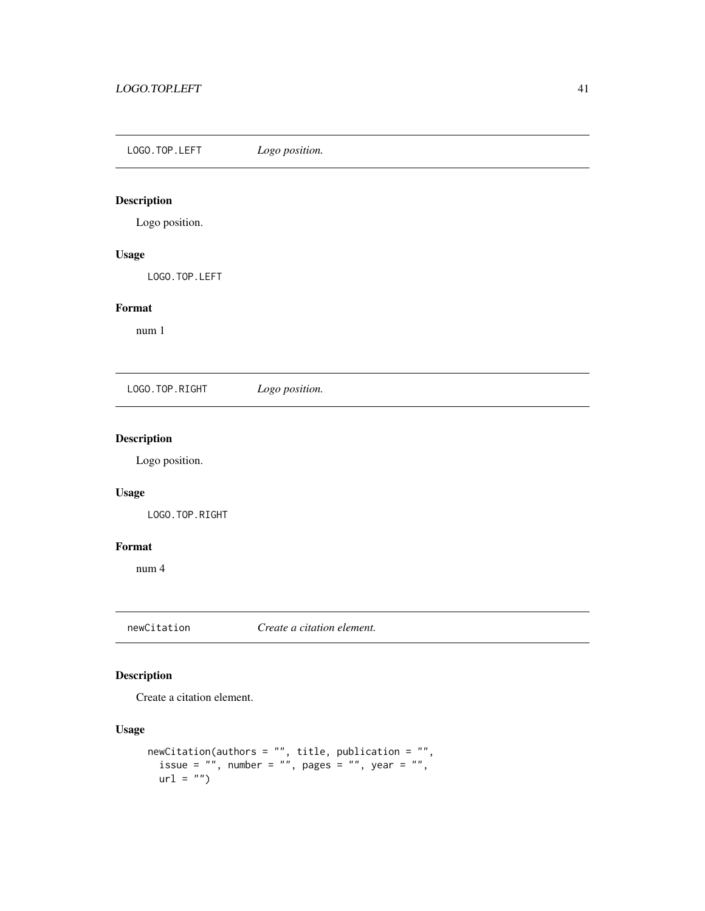LOGO.TOP.LEFT *Logo position.*

#### Description

Logo position.

## Usage

LOGO.TOP.LEFT

#### Format

num 1

LOGO.TOP.RIGHT *Logo position.*

## Description

Logo position.

## Usage

LOGO.TOP.RIGHT

#### Format

num 4

newCitation *Create a citation element.*

#### Description

Create a citation element.

#### Usage

```
newCitation(authors = "", title, publication = "",
issue = ", number = ", pages = ", year = ",
url = "")
```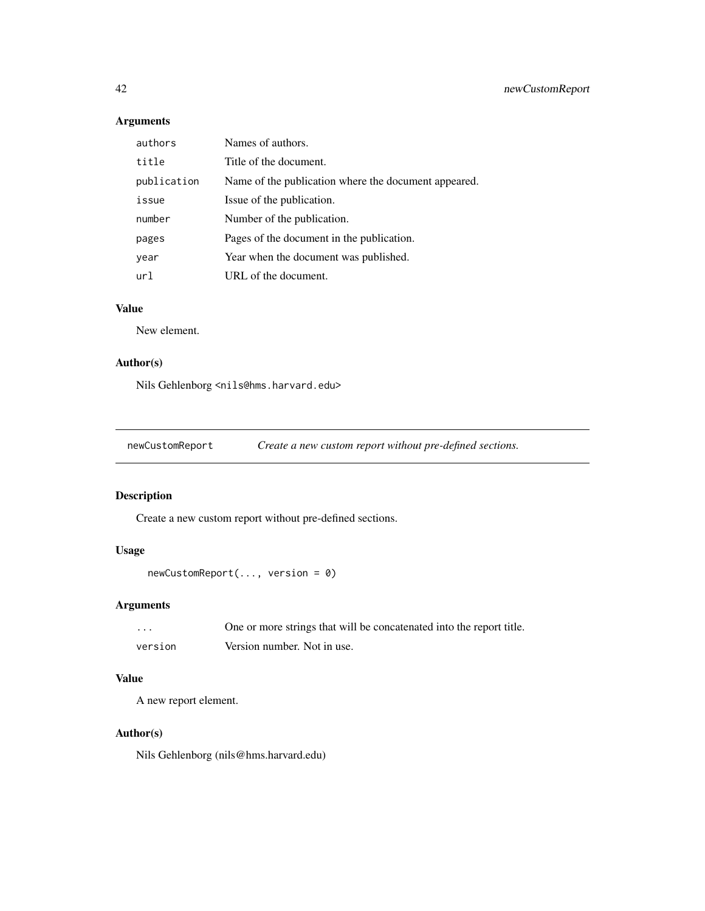## Arguments

| authors     | Names of authors.                                    |
|-------------|------------------------------------------------------|
| title       | Title of the document.                               |
| publication | Name of the publication where the document appeared. |
| issue       | Issue of the publication.                            |
| number      | Number of the publication.                           |
| pages       | Pages of the document in the publication.            |
| year        | Year when the document was published.                |
| url         | URL of the document.                                 |

## Value

New element.

## Author(s)

Nils Gehlenborg <nils@hms.harvard.edu>

| newCustomReport | Create a new custom report without pre-defined sections. |
|-----------------|----------------------------------------------------------|
|                 |                                                          |

## Description

Create a new custom report without pre-defined sections.

## Usage

```
newCustomReport(..., version = 0)
```
## Arguments

| .       | One or more strings that will be concatenated into the report title. |
|---------|----------------------------------------------------------------------|
| version | Version number. Not in use.                                          |

## Value

A new report element.

#### Author(s)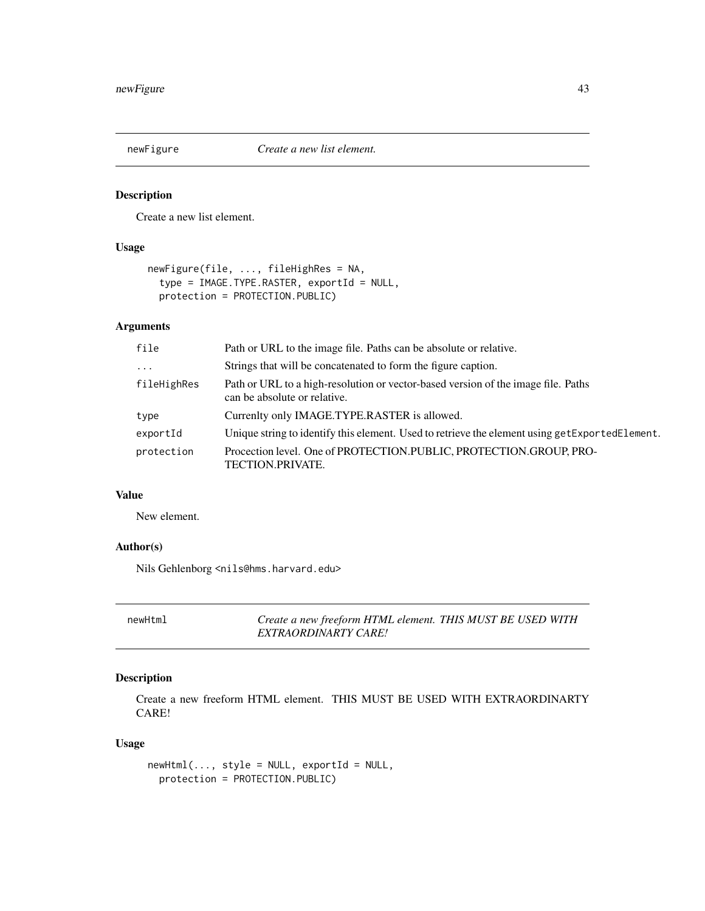#### Description

Create a new list element.

#### Usage

```
newFigure(file, ..., fileHighRes = NA,
type = IMAGE.TYPE.RASTER, exportId = NULL,
protection = PROTECTION.PUBLIC)
```
## Arguments

| file        | Path or URL to the image file. Paths can be absolute or relative.                                                 |
|-------------|-------------------------------------------------------------------------------------------------------------------|
| $\cdots$    | Strings that will be concatenated to form the figure caption.                                                     |
| fileHighRes | Path or URL to a high-resolution or vector-based version of the image file. Paths<br>can be absolute or relative. |
| type        | Currenlty only IMAGE.TYPE.RASTER is allowed.                                                                      |
| exportId    | Unique string to identify this element. Used to retrieve the element using getExportedElement.                    |
| protection  | Procection level. One of PROTECTION.PUBLIC, PROTECTION.GROUP, PRO-<br>TECTION.PRIVATE.                            |

## Value

New element.

#### Author(s)

Nils Gehlenborg <nils@hms.harvard.edu>

newHtml *Create a new freeform HTML element. THIS MUST BE USED WITH EXTRAORDINARTY CARE!*

#### Description

Create a new freeform HTML element. THIS MUST BE USED WITH EXTRAORDINARTY CARE!

#### Usage

```
newHtml(..., style = NULL, exportId = NULL,protection = PROTECTION.PUBLIC)
```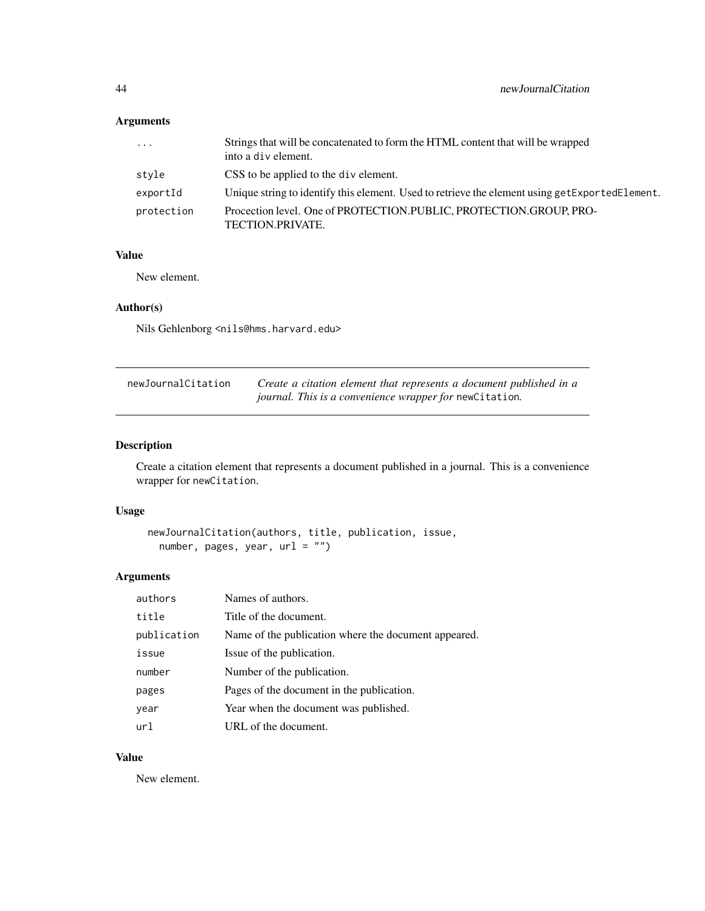# Arguments

| $\cdot \cdot \cdot$ | Strings that will be concatenated to form the HTML content that will be wrapped<br>into a div element. |
|---------------------|--------------------------------------------------------------------------------------------------------|
| style               | CSS to be applied to the div element.                                                                  |
| exportId            | Unique string to identify this element. Used to retrieve the element using getExportedElement.         |
| protection          | Procection level. One of PROTECTION.PUBLIC, PROTECTION.GROUP, PRO-<br>TECTION.PRIVATE.                 |

## Value

New element.

#### Author(s)

Nils Gehlenborg <nils@hms.harvard.edu>

| newJournalCitation | Create a citation element that represents a document published in a |
|--------------------|---------------------------------------------------------------------|
|                    | <i>journal. This is a convenience wrapper for newCitation.</i>      |

## Description

Create a citation element that represents a document published in a journal. This is a convenience wrapper for newCitation.

#### Usage

```
newJournalCitation(authors, title, publication, issue,
number, pages, year, url = "")
```
#### Arguments

| authors     | Names of authors.                                    |
|-------------|------------------------------------------------------|
| title       | Title of the document.                               |
| publication | Name of the publication where the document appeared. |
| issue       | Issue of the publication.                            |
| number      | Number of the publication.                           |
| pages       | Pages of the document in the publication.            |
| year        | Year when the document was published.                |
| url         | URL of the document.                                 |

#### Value

New element.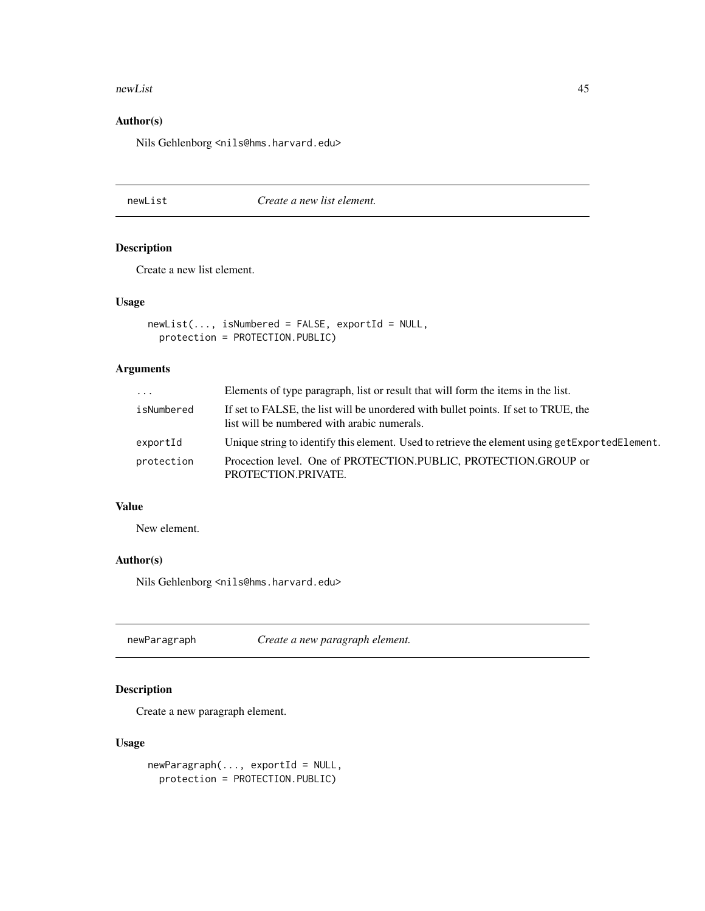#### newList 45

#### Author(s)

Nils Gehlenborg <nils@hms.harvard.edu>

#### newList *Create a new list element.*

## Description

Create a new list element.

#### Usage

```
newList(..., isNumbered = FALSE, exportId = NULL,protection = PROTECTION.PUBLIC)
```
#### Arguments

| $\cdot$ $\cdot$ $\cdot$ | Elements of type paragraph, list or result that will form the items in the list.                                                   |
|-------------------------|------------------------------------------------------------------------------------------------------------------------------------|
| isNumbered              | If set to FALSE, the list will be unordered with bullet points. If set to TRUE, the<br>list will be numbered with arabic numerals. |
| exportId                | Unique string to identify this element. Used to retrieve the element using get Exported Element.                                   |
| protection              | Procection level. One of PROTECTION.PUBLIC, PROTECTION.GROUP or<br>PROTECTION.PRIVATE.                                             |

## Value

New element.

#### Author(s)

Nils Gehlenborg <nils@hms.harvard.edu>

newParagraph *Create a new paragraph element.*

## Description

Create a new paragraph element.

#### Usage

```
newParagraph(..., exportId = NULL,
 protection = PROTECTION.PUBLIC)
```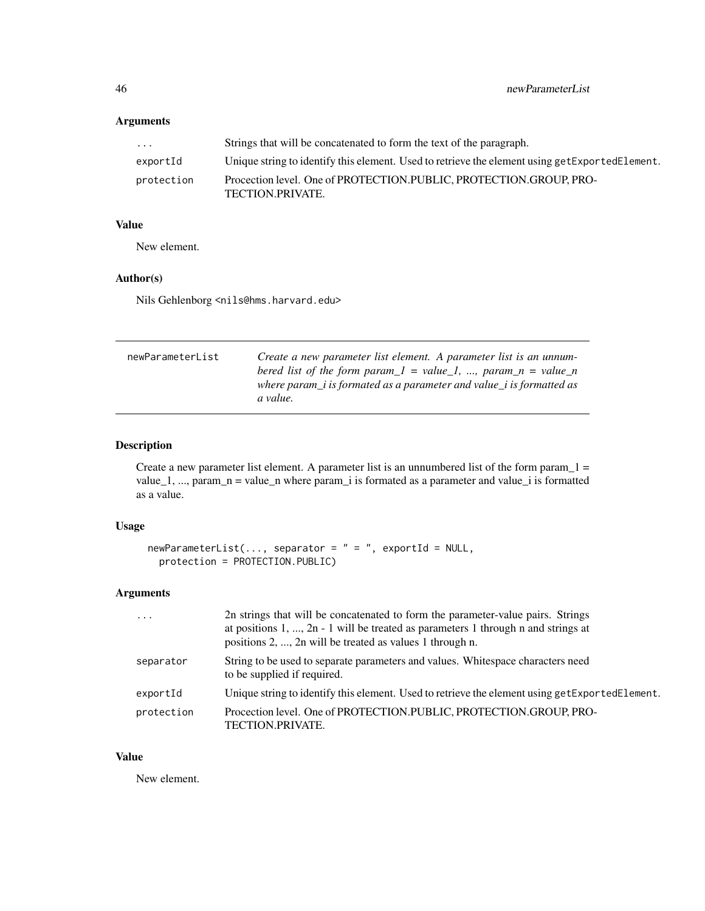## Arguments

| $\cdots$   | Strings that will be concatenated to form the text of the paragraph.                             |
|------------|--------------------------------------------------------------------------------------------------|
| exportId   | Unique string to identify this element. Used to retrieve the element using get Exported Element. |
| protection | Procection level. One of PROTECTION.PUBLIC, PROTECTION.GROUP, PRO-<br>TECTION.PRIVATE.           |

## Value

New element.

## Author(s)

Nils Gehlenborg <nils@hms.harvard.edu>

| newParameterList | Create a new parameter list element. A parameter list is an unnum-   |
|------------------|----------------------------------------------------------------------|
|                  | bered list of the form param $I = value_1$ , , param $n = value_n$   |
|                  | where param i is formated as a parameter and value i is formatted as |
|                  | a value.                                                             |
|                  |                                                                      |

## Description

Create a new parameter list element. A parameter list is an unnumbered list of the form param\_1 = value\_1, ..., param\_n = value\_n where param\_i is formated as a parameter and value\_i is formatted as a value.

#### Usage

```
newParameterList(..., separator = " = ", exportId = NULL,
 protection = PROTECTION.PUBLIC)
```
#### Arguments

| $\cdot \cdot \cdot$ | 2n strings that will be concatenated to form the parameter-value pairs. Strings<br>at positions $1, \ldots, 2n - 1$ will be treated as parameters 1 through n and strings at<br>positions 2, , 2n will be treated as values 1 through n. |
|---------------------|------------------------------------------------------------------------------------------------------------------------------------------------------------------------------------------------------------------------------------------|
| separator           | String to be used to separate parameters and values. Whitespace characters need<br>to be supplied if required.                                                                                                                           |
| exportId            | Unique string to identify this element. Used to retrieve the element using getExportedElement.                                                                                                                                           |
| protection          | Procection level. One of PROTECTION.PUBLIC, PROTECTION.GROUP, PRO-<br>TECTION.PRIVATE.                                                                                                                                                   |

#### Value

New element.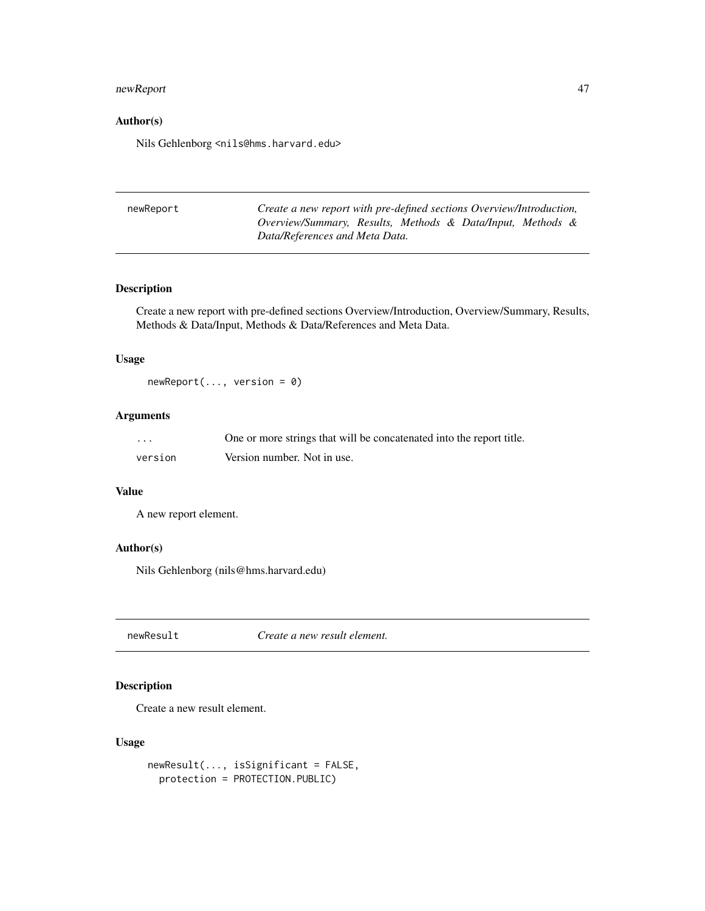#### newReport 47

#### Author(s)

Nils Gehlenborg <nils@hms.harvard.edu>

| newReport | Create a new report with pre-defined sections Overview/Introduction, |  |  |  |  |  |  |  |  |
|-----------|----------------------------------------------------------------------|--|--|--|--|--|--|--|--|
|           | Overview/Summary, Results, Methods & Data/Input, Methods &           |  |  |  |  |  |  |  |  |
|           | Data/References and Meta Data.                                       |  |  |  |  |  |  |  |  |

#### Description

Create a new report with pre-defined sections Overview/Introduction, Overview/Summary, Results, Methods & Data/Input, Methods & Data/References and Meta Data.

#### Usage

```
newReport(..., version = 0)
```
#### Arguments

| $\cdots$ | One or more strings that will be concatenated into the report title. |
|----------|----------------------------------------------------------------------|
| version  | Version number. Not in use.                                          |

#### Value

A new report element.

## Author(s)

Nils Gehlenborg (nils@hms.harvard.edu)

newResult *Create a new result element.*

#### Description

Create a new result element.

#### Usage

```
newResult(..., isSignificant = FALSE,
protection = PROTECTION.PUBLIC)
```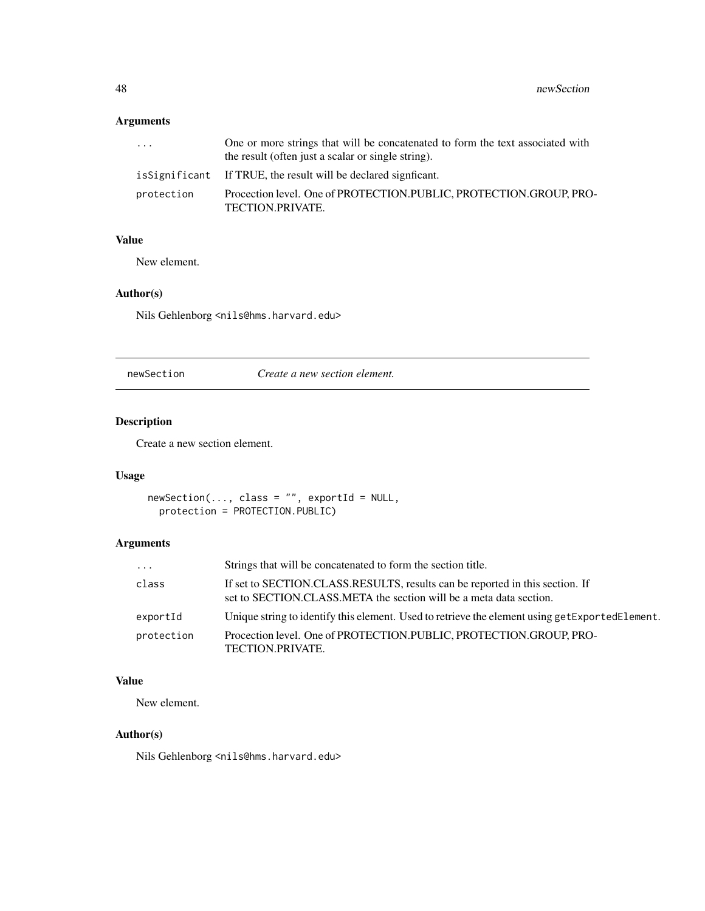## Arguments

| .          | One or more strings that will be concatenated to form the text associated with<br>the result (often just a scalar or single string). |
|------------|--------------------------------------------------------------------------------------------------------------------------------------|
|            | is Significant If TRUE, the result will be declared significant.                                                                     |
| protection | Procection level. One of PROTECTION.PUBLIC, PROTECTION.GROUP, PRO-<br>TECTION.PRIVATE.                                               |

#### Value

New element.

#### Author(s)

Nils Gehlenborg <nils@hms.harvard.edu>

newSection *Create a new section element.*

## Description

Create a new section element.

## Usage

```
newSection(..., class = "", exportId = NULL,
 protection = PROTECTION.PUBLIC)
```
#### Arguments

| $\cdots$   | Strings that will be concatenated to form the section title.                                                                                       |
|------------|----------------------------------------------------------------------------------------------------------------------------------------------------|
| class      | If set to SECTION.CLASS.RESULTS, results can be reported in this section. If<br>set to SECTION.CLASS.META the section will be a meta data section. |
| exportId   | Unique string to identify this element. Used to retrieve the element using getExportedElement.                                                     |
| protection | Procection level. One of PROTECTION.PUBLIC, PROTECTION.GROUP, PRO-<br>TECTION.PRIVATE.                                                             |

## Value

New element.

#### Author(s)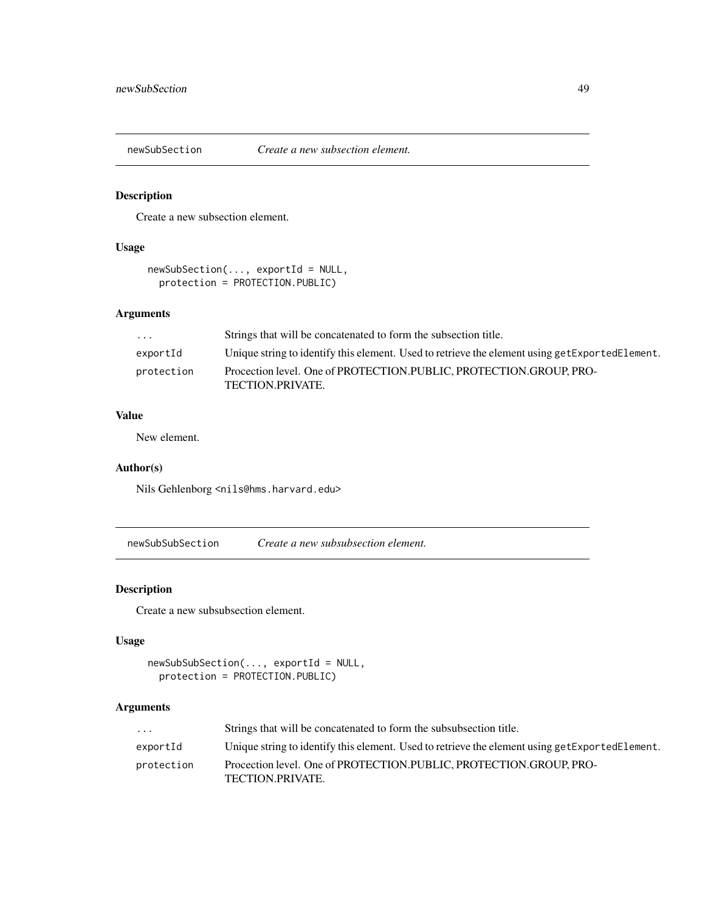#### Description

Create a new subsection element.

## Usage

```
newSubSection(..., exportId = NULL,
protection = PROTECTION.PUBLIC)
```
#### Arguments

| $\cdots$   | Strings that will be concatenated to form the subsection title.                                  |
|------------|--------------------------------------------------------------------------------------------------|
| exportId   | Unique string to identify this element. Used to retrieve the element using get Exported Element. |
| protection | Procection level. One of PROTECTION.PUBLIC, PROTECTION.GROUP, PRO-<br>TECTION.PRIVATE.           |

## Value

New element.

#### Author(s)

Nils Gehlenborg <nils@hms.harvard.edu>

newSubSubSection *Create a new subsubsection element.*

## Description

Create a new subsubsection element.

#### Usage

```
newSubSubSection(..., exportId = NULL,
protection = PROTECTION.PUBLIC)
```

| $\cdots$   | Strings that will be concatenated to form the subsubsection title.                             |
|------------|------------------------------------------------------------------------------------------------|
| exportId   | Unique string to identify this element. Used to retrieve the element using getExportedElement. |
| protection | Procection level. One of PROTECTION.PUBLIC. PROTECTION.GROUP. PRO-<br>TECTION.PRIVATE.         |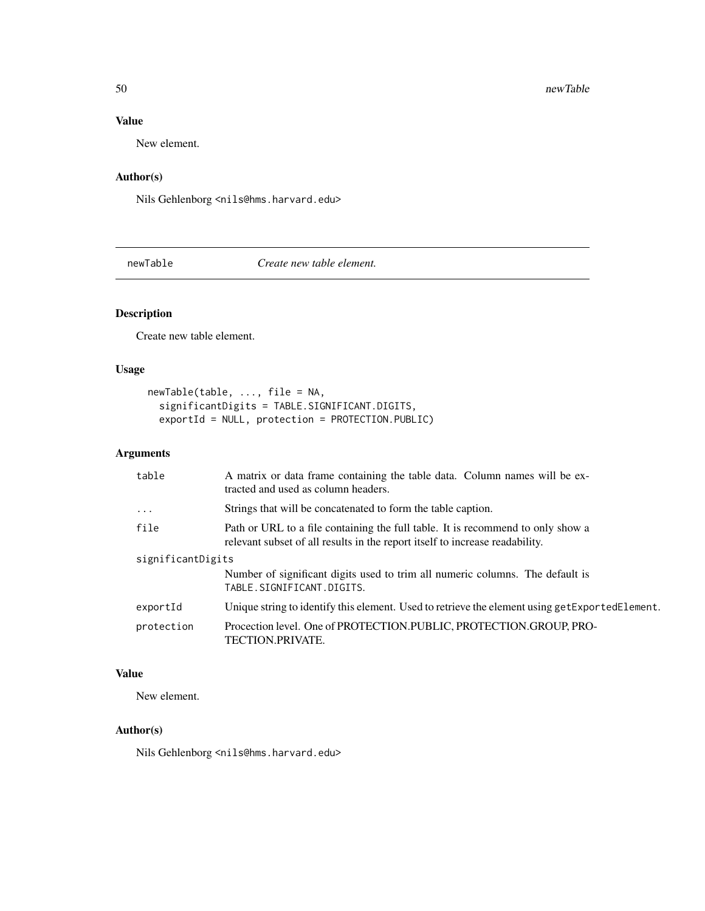## Value

New element.

## Author(s)

Nils Gehlenborg <nils@hms.harvard.edu>

newTable *Create new table element.*

#### Description

Create new table element.

#### Usage

```
newTable(table, ..., file = NA,
 significantDigits = TABLE.SIGNIFICANT.DIGITS,
exportId = NULL, protection = PROTECTION.PUBLIC)
```
#### Arguments

| table             | A matrix or data frame containing the table data. Column names will be ex-<br>tracted and used as column headers.                                               |  |
|-------------------|-----------------------------------------------------------------------------------------------------------------------------------------------------------------|--|
| $\cdots$          | Strings that will be concatenated to form the table caption.                                                                                                    |  |
| file              | Path or URL to a file containing the full table. It is recommend to only show a<br>relevant subset of all results in the report itself to increase readability. |  |
| significantDigits |                                                                                                                                                                 |  |
|                   | Number of significant digits used to trim all numeric columns. The default is<br>TABLE. SIGNIFICANT. DIGITS.                                                    |  |
| exportId          | Unique string to identify this element. Used to retrieve the element using get Exported Element.                                                                |  |
| protection        | Procection level. One of PROTECTION.PUBLIC, PROTECTION.GROUP, PRO-<br><b>TECTION.PRIVATE.</b>                                                                   |  |

#### Value

New element.

## Author(s)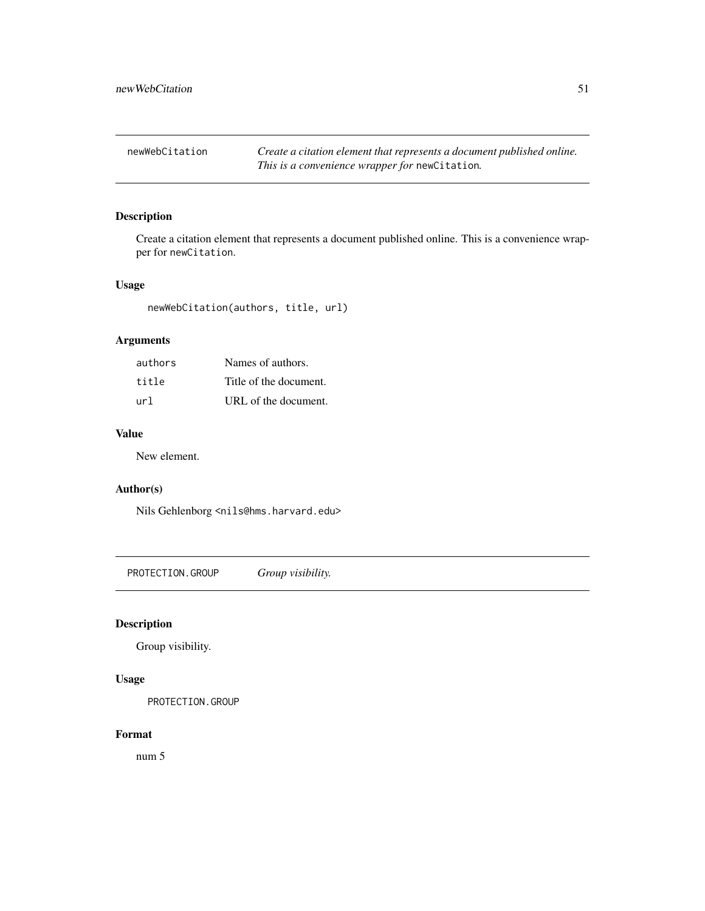newWebCitation *Create a citation element that represents a document published online. This is a convenience wrapper for* newCitation*.*

#### Description

Create a citation element that represents a document published online. This is a convenience wrapper for newCitation.

#### Usage

newWebCitation(authors, title, url)

#### Arguments

| authors | Names of authors.      |
|---------|------------------------|
| title   | Title of the document. |
| url     | URL of the document.   |

#### Value

New element.

#### Author(s)

Nils Gehlenborg <nils@hms.harvard.edu>

PROTECTION.GROUP *Group visibility.*

#### Description

Group visibility.

## Usage

PROTECTION.GROUP

#### Format

num 5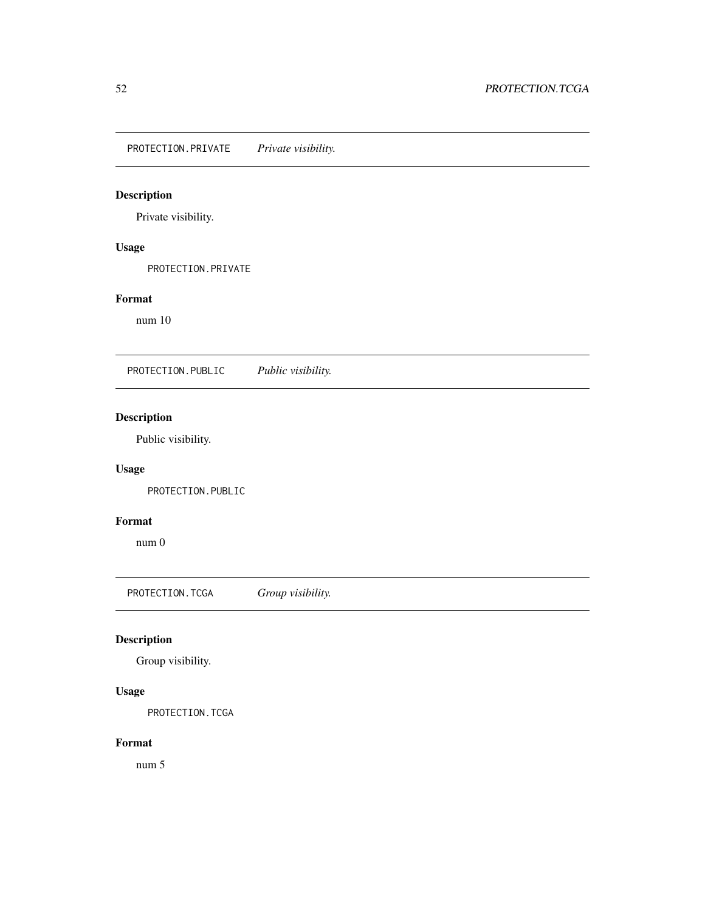PROTECTION.PRIVATE *Private visibility.*

#### Description

Private visibility.

## Usage

PROTECTION.PRIVATE

## Format

num 10

PROTECTION.PUBLIC *Public visibility.*

## Description

Public visibility.

## Usage

PROTECTION.PUBLIC

## Format

num 0

PROTECTION.TCGA *Group visibility.*

# Description

Group visibility.

## Usage

PROTECTION.TCGA

#### Format

num 5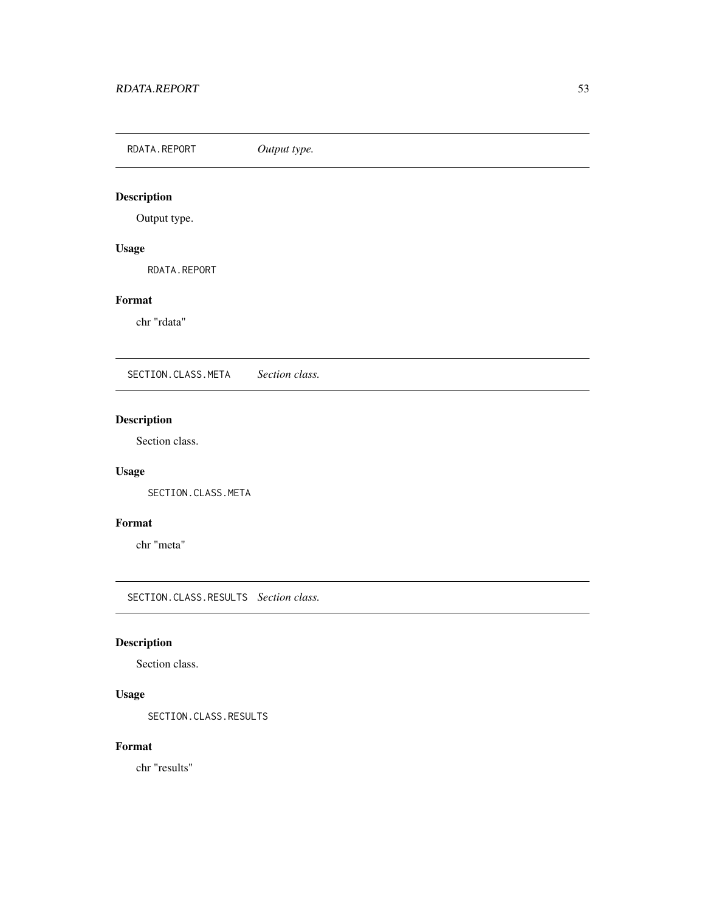RDATA.REPORT *Output type.*

# Description

Output type.

## Usage

RDATA.REPORT

#### Format

chr "rdata"

SECTION.CLASS.META *Section class.*

## Description

Section class.

## Usage

SECTION.CLASS.META

#### Format

chr "meta"

SECTION.CLASS.RESULTS *Section class.*

## Description

Section class.

## Usage

SECTION.CLASS.RESULTS

#### Format

chr "results"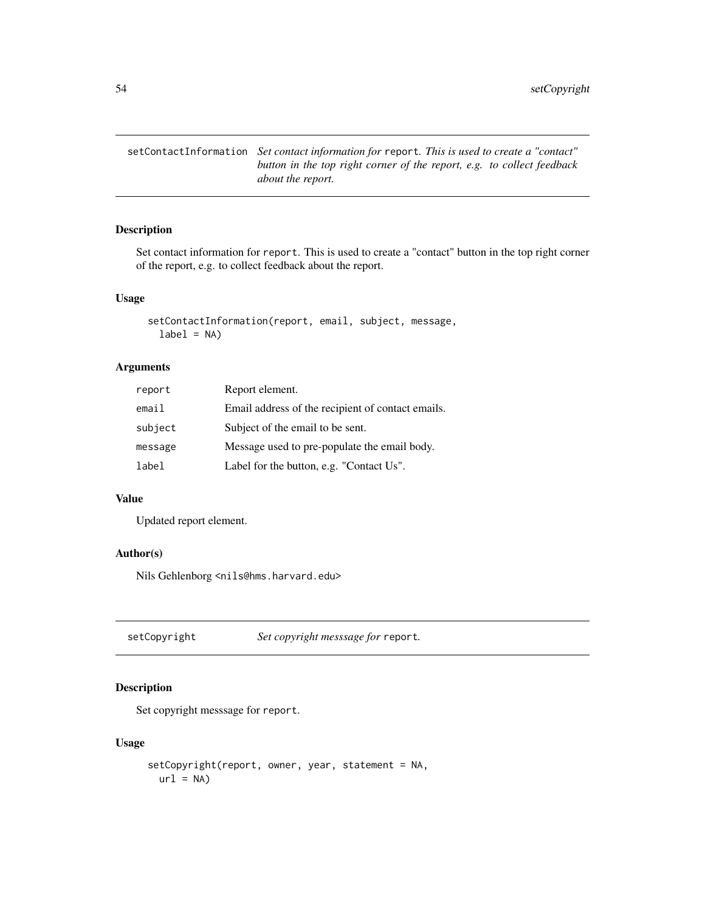54 setCopyright

setContactInformation *Set contact information for* report*. This is used to create a "contact" button in the top right corner of the report, e.g. to collect feedback about the report.*

#### Description

Set contact information for report. This is used to create a "contact" button in the top right corner of the report, e.g. to collect feedback about the report.

#### Usage

```
setContactInformation(report, email, subject, message,
label = NA
```
## Arguments

| report  | Report element.                                   |
|---------|---------------------------------------------------|
| email   | Email address of the recipient of contact emails. |
| subject | Subject of the email to be sent.                  |
| message | Message used to pre-populate the email body.      |
| label   | Label for the button, e.g. "Contact Us".          |

#### Value

Updated report element.

## Author(s)

Nils Gehlenborg <nils@hms.harvard.edu>

setCopyright *Set copyright messsage for* report*.*

#### Description

Set copyright messsage for report.

#### Usage

```
setCopyright(report, owner, year, statement = NA,
url = NA)
```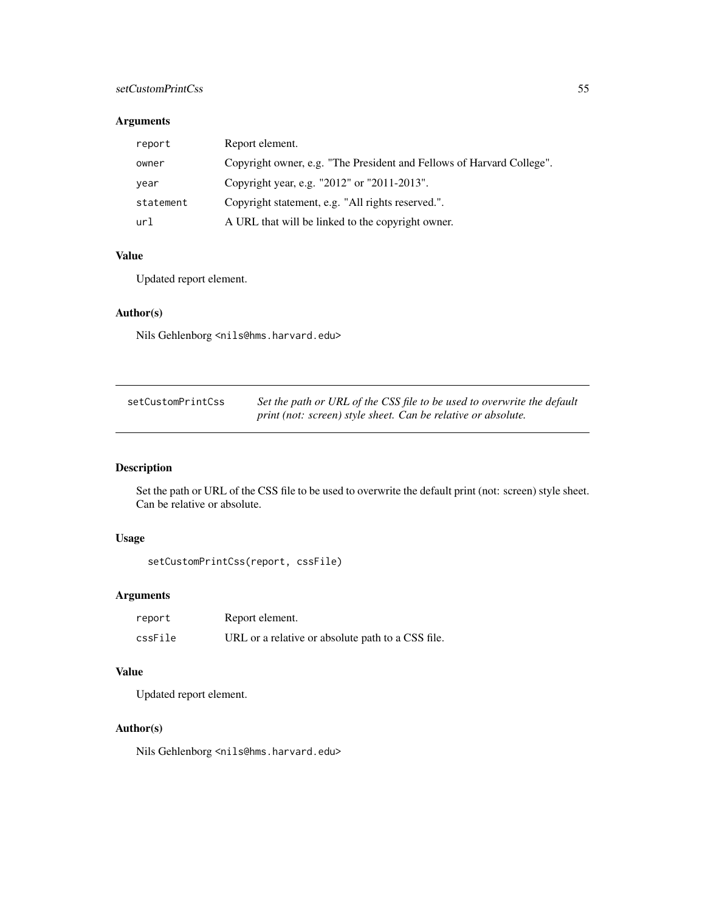## setCustomPrintCss 55

## Arguments

| report    | Report element.                                                       |
|-----------|-----------------------------------------------------------------------|
| owner     | Copyright owner, e.g. "The President and Fellows of Harvard College". |
| year      | Copyright year, e.g. "2012" or "2011-2013".                           |
| statement | Copyright statement, e.g. "All rights reserved.".                     |
| url       | A URL that will be linked to the copyright owner.                     |

## Value

Updated report element.

#### Author(s)

Nils Gehlenborg <nils@hms.harvard.edu>

| setCustomPrintCss | Set the path or URL of the CSS file to be used to overwrite the default |
|-------------------|-------------------------------------------------------------------------|
|                   | print (not: screen) style sheet. Can be relative or absolute.           |

## Description

Set the path or URL of the CSS file to be used to overwrite the default print (not: screen) style sheet. Can be relative or absolute.

## Usage

```
setCustomPrintCss(report, cssFile)
```
## Arguments

| report  | Report element.                                   |
|---------|---------------------------------------------------|
| cssFile | URL or a relative or absolute path to a CSS file. |

#### Value

Updated report element.

#### Author(s)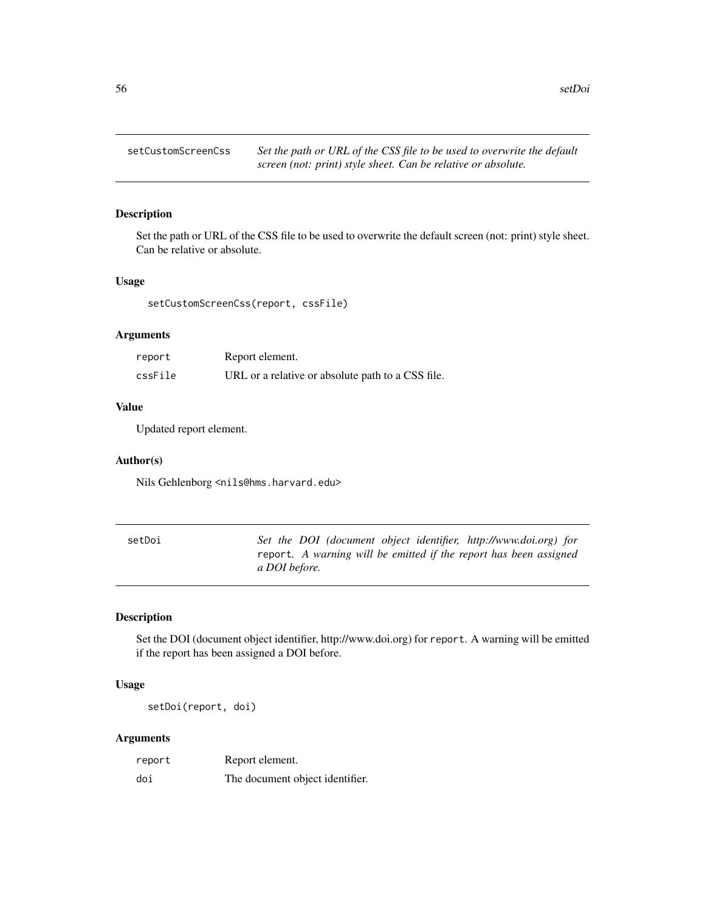#### Description

Set the path or URL of the CSS file to be used to overwrite the default screen (not: print) style sheet. Can be relative or absolute.

## Usage

setCustomScreenCss(report, cssFile)

#### Arguments

| report  | Report element.                                   |
|---------|---------------------------------------------------|
| cssFile | URL or a relative or absolute path to a CSS file. |

#### Value

Updated report element.

#### Author(s)

Nils Gehlenborg <nils@hms.harvard.edu>

| setDoi | Set the DOI (document object identifier, http://www.doi.org) for  |
|--------|-------------------------------------------------------------------|
|        | report. A warning will be emitted if the report has been assigned |
|        | a DOI before.                                                     |

## Description

Set the DOI (document object identifier, http://www.doi.org) for report. A warning will be emitted if the report has been assigned a DOI before.

## Usage

setDoi(report, doi)

| report | Report element.                 |
|--------|---------------------------------|
| doi    | The document object identifier. |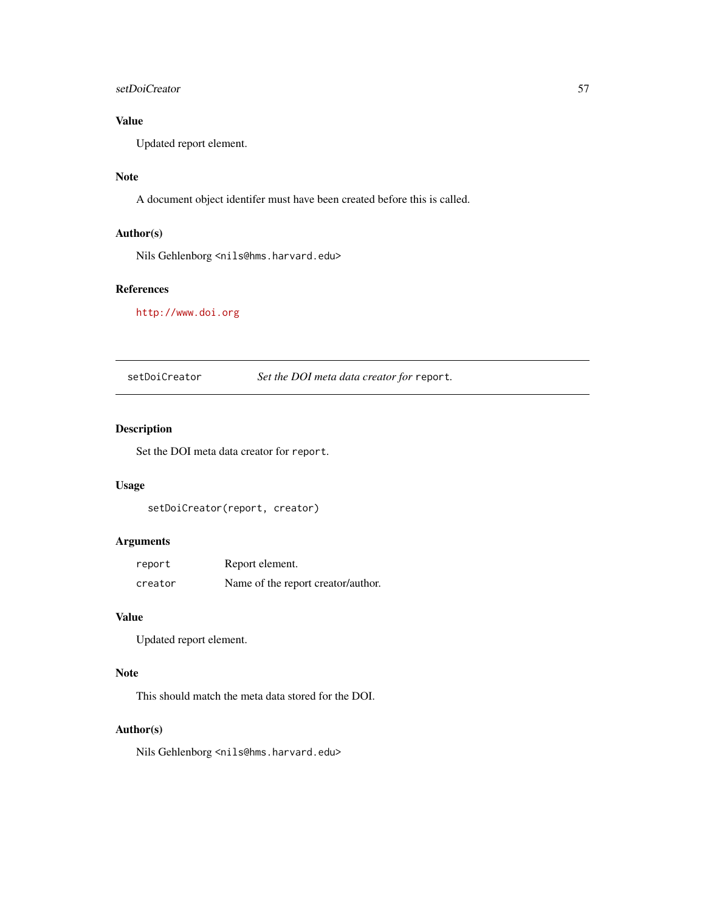#### setDoiCreator 57

## Value

Updated report element.

## Note

A document object identifer must have been created before this is called.

## Author(s)

Nils Gehlenborg <nils@hms.harvard.edu>

#### References

<http://www.doi.org>

setDoiCreator *Set the DOI meta data creator for* report*.*

#### Description

Set the DOI meta data creator for report.

#### Usage

```
setDoiCreator(report, creator)
```
## Arguments

| report  | Report element.                    |
|---------|------------------------------------|
| creator | Name of the report creator/author. |

#### Value

Updated report element.

#### Note

This should match the meta data stored for the DOI.

#### Author(s)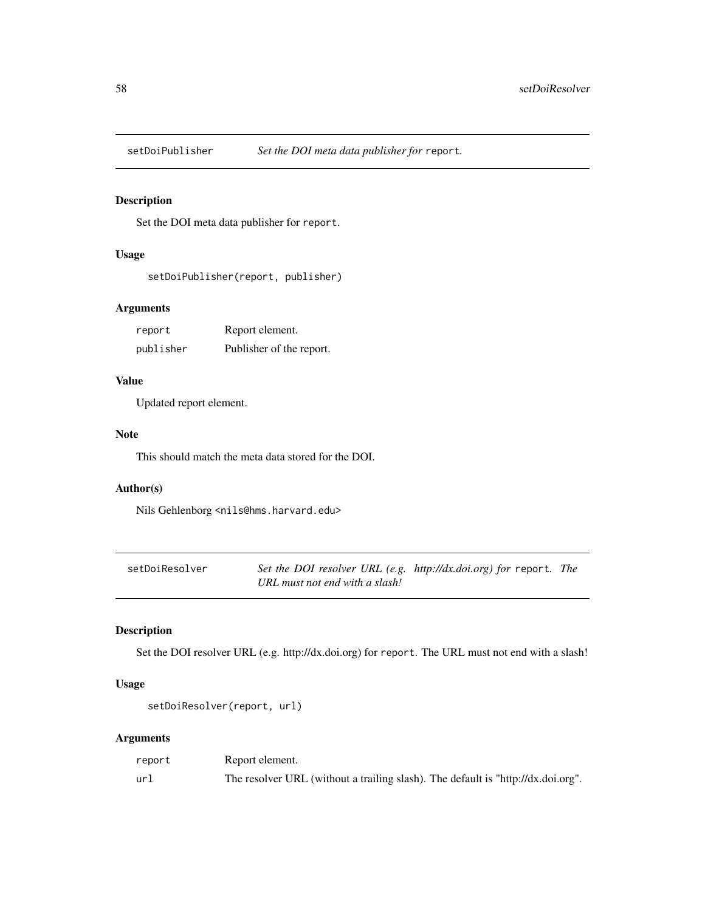#### Description

Set the DOI meta data publisher for report.

## Usage

```
setDoiPublisher(report, publisher)
```
#### Arguments

| report    | Report element.          |
|-----------|--------------------------|
| publisher | Publisher of the report. |

## Value

Updated report element.

#### Note

This should match the meta data stored for the DOI.

#### Author(s)

Nils Gehlenborg <nils@hms.harvard.edu>

| setDoiResolver | Set the DOI resolver URL (e.g. http://dx.doi.org) for report. The |  |
|----------------|-------------------------------------------------------------------|--|
|                | URL must not end with a slash!                                    |  |

#### Description

Set the DOI resolver URL (e.g. http://dx.doi.org) for report. The URL must not end with a slash!

## Usage

```
setDoiResolver(report, url)
```

| report | Report element.                                                                  |
|--------|----------------------------------------------------------------------------------|
| url    | The resolver URL (without a trailing slash). The default is "http://dx.doi.org". |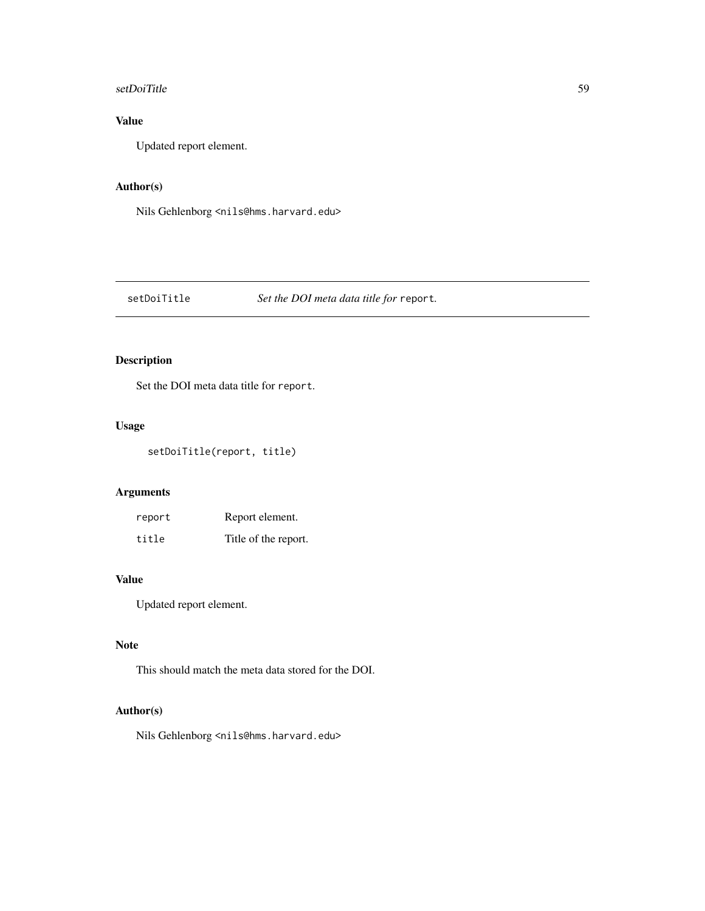#### setDoiTitle 59

## Value

Updated report element.

## Author(s)

Nils Gehlenborg <nils@hms.harvard.edu>

## setDoiTitle *Set the DOI meta data title for* report*.*

## Description

Set the DOI meta data title for report.

#### Usage

setDoiTitle(report, title)

#### Arguments

| report | Report element.      |
|--------|----------------------|
| title  | Title of the report. |

#### Value

Updated report element.

## Note

This should match the meta data stored for the DOI.

#### Author(s)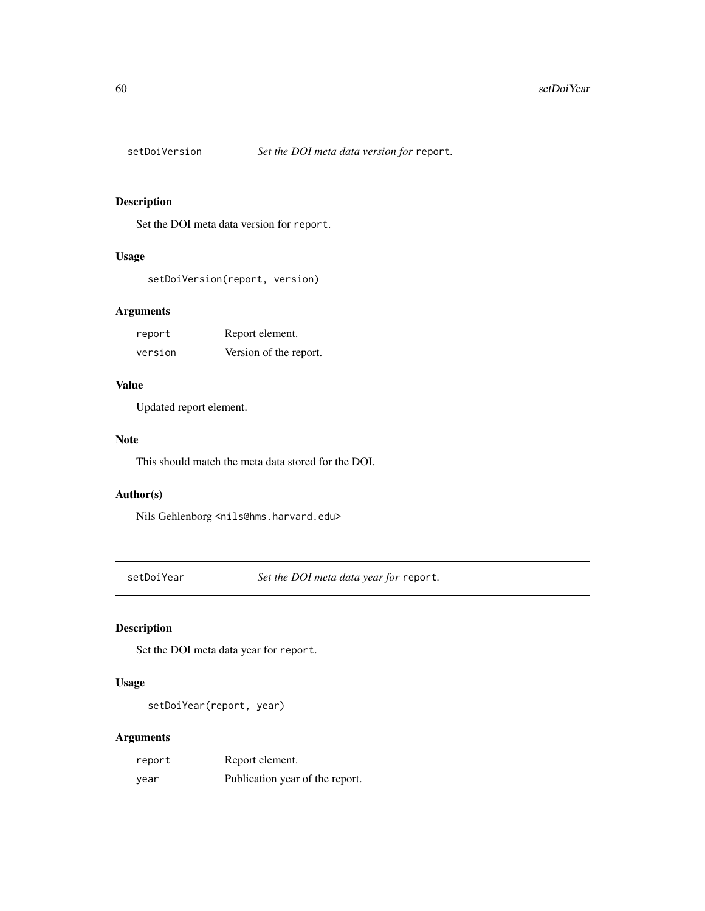#### Description

Set the DOI meta data version for report.

#### Usage

```
setDoiVersion(report, version)
```
## Arguments

| report  | Report element.        |
|---------|------------------------|
| version | Version of the report. |

#### Value

Updated report element.

#### Note

This should match the meta data stored for the DOI.

#### Author(s)

Nils Gehlenborg <nils@hms.harvard.edu>

setDoiYear *Set the DOI meta data year for* report*.*

## Description

Set the DOI meta data year for report.

## Usage

setDoiYear(report, year)

| report | Report element.                 |
|--------|---------------------------------|
| year   | Publication year of the report. |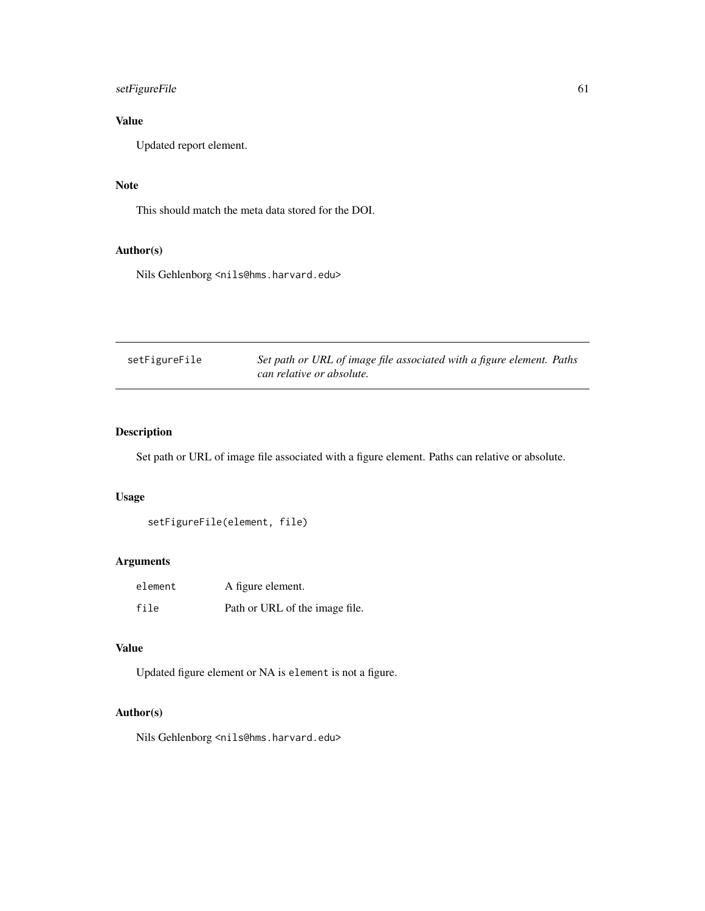## setFigureFile 61

## Value

Updated report element.

## Note

This should match the meta data stored for the DOI.

#### Author(s)

Nils Gehlenborg <nils@hms.harvard.edu>

| setFigureFile | Set path or URL of image file associated with a figure element. Paths |  |
|---------------|-----------------------------------------------------------------------|--|
|               | can relative or absolute.                                             |  |

## Description

Set path or URL of image file associated with a figure element. Paths can relative or absolute.

#### Usage

```
setFigureFile(element, file)
```
#### Arguments

| element | A figure element.              |
|---------|--------------------------------|
| file    | Path or URL of the image file. |

## Value

Updated figure element or NA is element is not a figure.

## Author(s)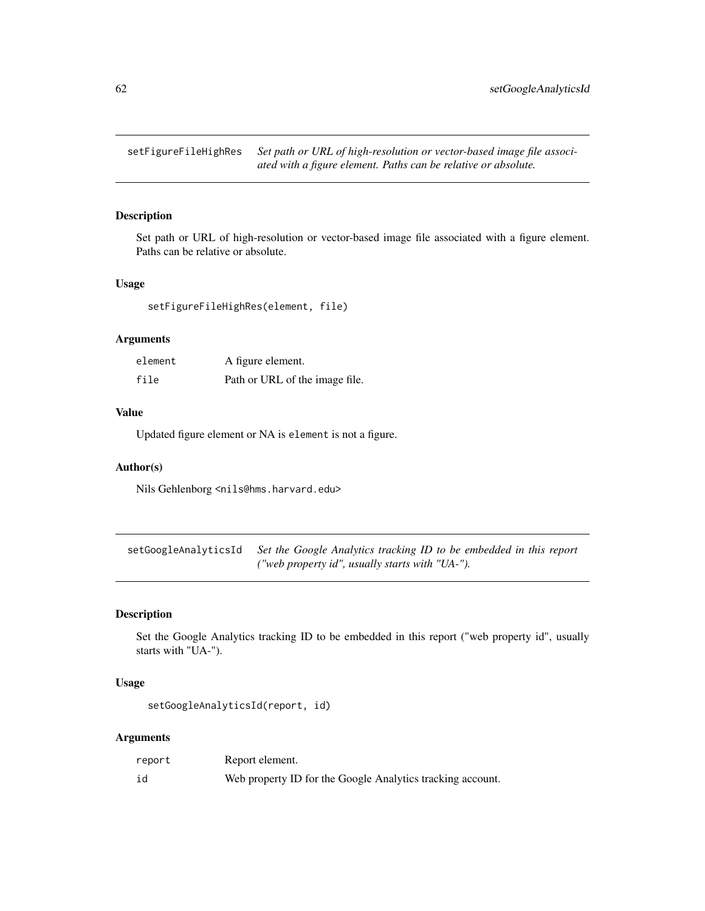setFigureFileHighRes *Set path or URL of high-resolution or vector-based image file associated with a figure element. Paths can be relative or absolute.*

#### Description

Set path or URL of high-resolution or vector-based image file associated with a figure element. Paths can be relative or absolute.

#### Usage

setFigureFileHighRes(element, file)

#### Arguments

| element | A figure element.              |
|---------|--------------------------------|
| file    | Path or URL of the image file. |

#### Value

Updated figure element or NA is element is not a figure.

#### Author(s)

Nils Gehlenborg <nils@hms.harvard.edu>

setGoogleAnalyticsId *Set the Google Analytics tracking ID to be embedded in this report ("web property id", usually starts with "UA-").*

#### Description

Set the Google Analytics tracking ID to be embedded in this report ("web property id", usually starts with "UA-").

#### Usage

setGoogleAnalyticsId(report, id)

| report | Report element.                                            |
|--------|------------------------------------------------------------|
| id     | Web property ID for the Google Analytics tracking account. |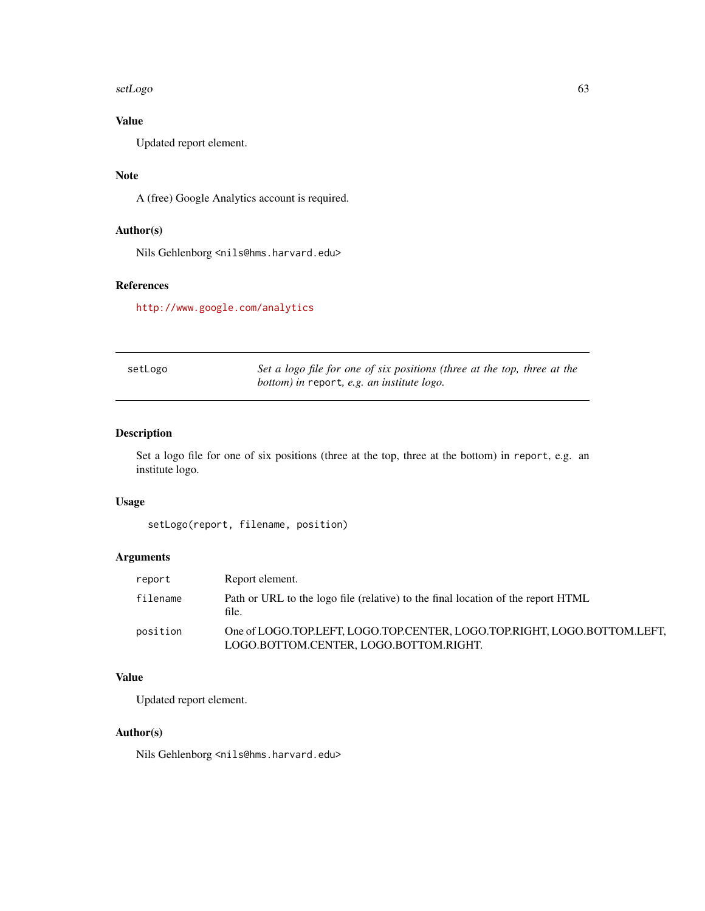#### setLogo 63

## Value

Updated report element.

#### Note

A (free) Google Analytics account is required.

## Author(s)

Nils Gehlenborg <nils@hms.harvard.edu>

#### References

<http://www.google.com/analytics>

| setLogo | Set a logo file for one of six positions (three at the top, three at the |
|---------|--------------------------------------------------------------------------|
|         | <i>bottom</i> ) in report, e.g. an institute logo.                       |

## Description

Set a logo file for one of six positions (three at the top, three at the bottom) in report, e.g. an institute logo.

#### Usage

setLogo(report, filename, position)

## Arguments

| report   | Report element.                                                                                                    |
|----------|--------------------------------------------------------------------------------------------------------------------|
| filename | Path or URL to the logo file (relative) to the final location of the report HTML<br>file.                          |
| position | One of LOGO.TOP.LEFT, LOGO.TOP.CENTER, LOGO.TOP.RIGHT, LOGO.BOTTOM.LEFT,<br>LOGO.BOTTOM.CENTER. LOGO.BOTTOM.RIGHT. |

#### Value

Updated report element.

#### Author(s)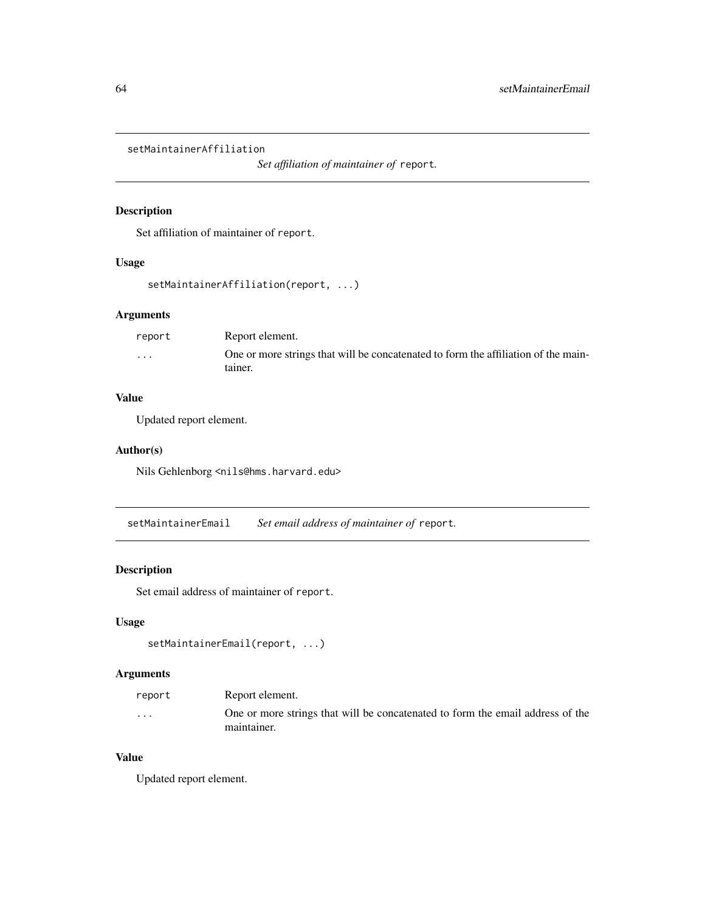```
setMaintainerAffiliation
```
*Set affiliation of maintainer of* report*.*

## Description

Set affiliation of maintainer of report.

#### Usage

```
setMaintainerAffiliation(report, ...)
```
#### Arguments

| report   | Report element.                                                                               |
|----------|-----------------------------------------------------------------------------------------------|
| $\cdots$ | One or more strings that will be concatenated to form the affiliation of the main-<br>tainer. |

## Value

Updated report element.

#### Author(s)

Nils Gehlenborg <nils@hms.harvard.edu>

setMaintainerEmail *Set email address of maintainer of* report*.*

## Description

Set email address of maintainer of report.

### Usage

```
setMaintainerEmail(report, ...)
```
## Arguments

| report  | Report element.                                                                |
|---------|--------------------------------------------------------------------------------|
| $\cdot$ | One or more strings that will be concatenated to form the email address of the |
|         | maintainer.                                                                    |

#### Value

Updated report element.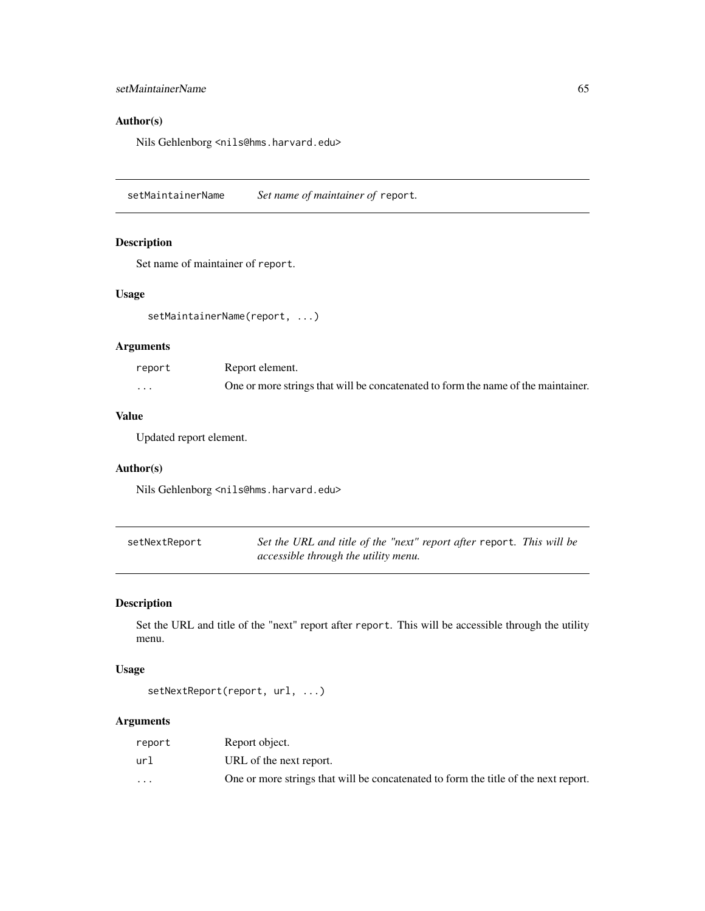#### setMaintainerName 65

## Author(s)

Nils Gehlenborg <nils@hms.harvard.edu>

setMaintainerName *Set name of maintainer of* report*.*

#### Description

Set name of maintainer of report.

#### Usage

setMaintainerName(report, ...)

#### Arguments

| report   | Report element.                                                                   |
|----------|-----------------------------------------------------------------------------------|
| $\cdots$ | One or more strings that will be concatenated to form the name of the maintainer. |

#### Value

Updated report element.

## Author(s)

Nils Gehlenborg <nils@hms.harvard.edu>

| setNextReport | Set the URL and title of the "next" report after report. This will be |
|---------------|-----------------------------------------------------------------------|
|               | accessible through the utility menu.                                  |

#### Description

Set the URL and title of the "next" report after report. This will be accessible through the utility menu.

#### Usage

```
setNextReport(report, url, ...)
```

| report                  | Report object.                                                                      |
|-------------------------|-------------------------------------------------------------------------------------|
| url                     | URL of the next report.                                                             |
| $\cdot$ $\cdot$ $\cdot$ | One or more strings that will be concatenated to form the title of the next report. |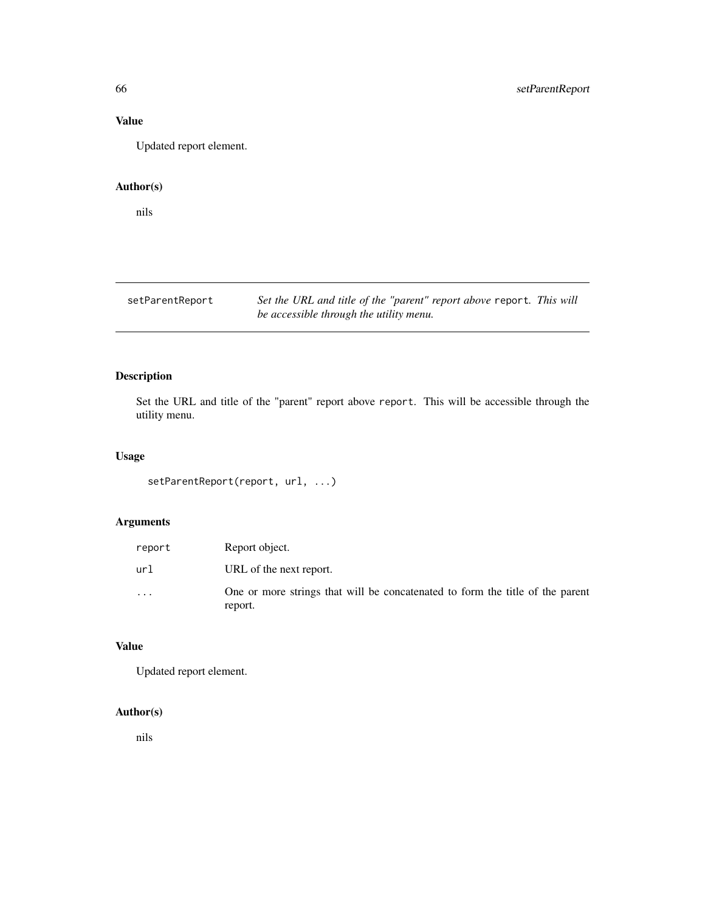## Value

Updated report element.

#### Author(s)

nils

setParentReport *Set the URL and title of the "parent" report above* report*. This will be accessible through the utility menu.*

#### Description

Set the URL and title of the "parent" report above report. This will be accessible through the utility menu.

#### Usage

```
setParentReport(report, url, ...)
```
## Arguments

| report    | Report object.                                                                           |
|-----------|------------------------------------------------------------------------------------------|
| url       | URL of the next report.                                                                  |
| $\ddotsc$ | One or more strings that will be concatenated to form the title of the parent<br>report. |

## Value

Updated report element.

#### Author(s)

nils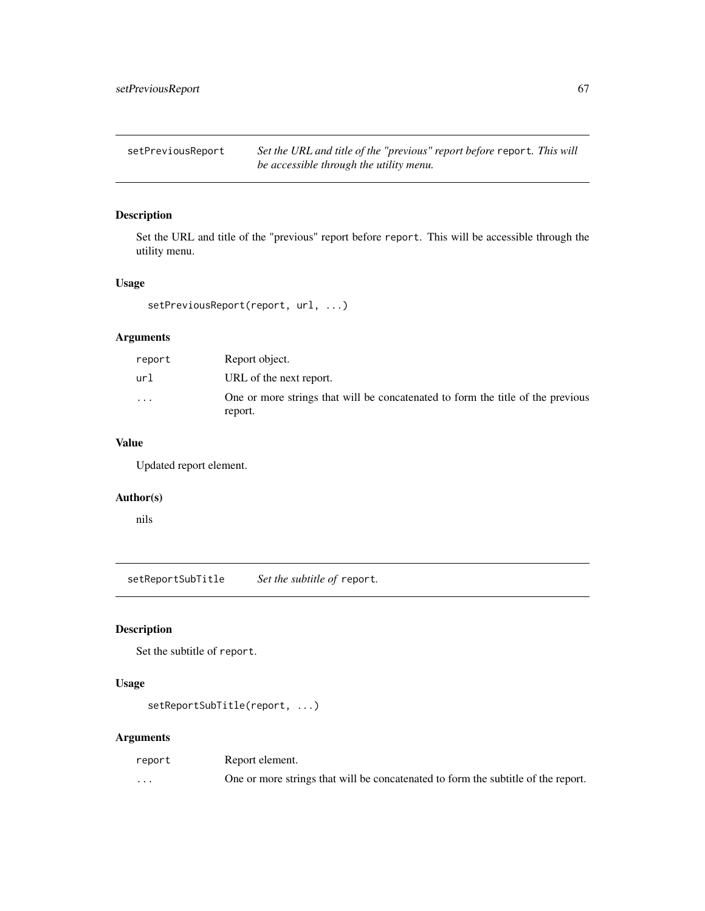setPreviousReport *Set the URL and title of the "previous" report before* report*. This will be accessible through the utility menu.*

#### Description

Set the URL and title of the "previous" report before report. This will be accessible through the utility menu.

#### Usage

```
setPreviousReport(report, url, ...)
```
#### Arguments

| report                  | Report object.                                                                             |
|-------------------------|--------------------------------------------------------------------------------------------|
| url                     | URL of the next report.                                                                    |
| $\cdot$ $\cdot$ $\cdot$ | One or more strings that will be concatenated to form the title of the previous<br>report. |

## Value

Updated report element.

#### Author(s)

nils

setReportSubTitle *Set the subtitle of* report*.*

#### Description

Set the subtitle of report.

## Usage

setReportSubTitle(report, ...)

| report   | Report element.                                                                   |
|----------|-----------------------------------------------------------------------------------|
| $\cdots$ | One or more strings that will be concatenated to form the subtitle of the report. |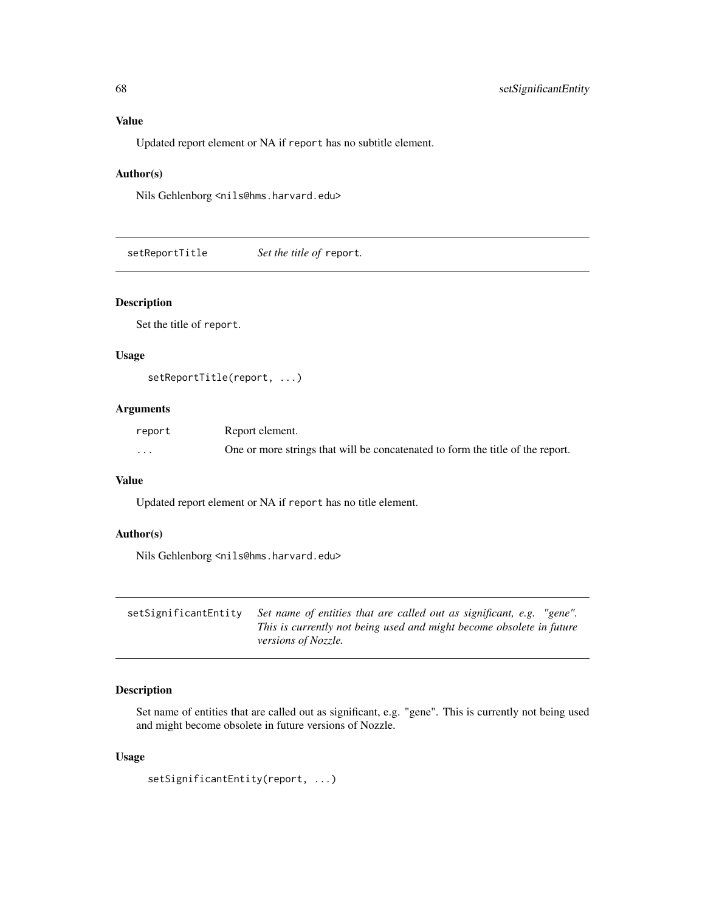Updated report element or NA if report has no subtitle element.

#### Author(s)

Nils Gehlenborg <nils@hms.harvard.edu>

setReportTitle *Set the title of* report*.*

#### Description

Set the title of report.

#### Usage

setReportTitle(report, ...)

## Arguments

| report | Report element.                                                                |
|--------|--------------------------------------------------------------------------------|
| .      | One or more strings that will be concatenated to form the title of the report. |

## Value

Updated report element or NA if report has no title element.

#### Author(s)

Nils Gehlenborg <nils@hms.harvard.edu>

| setSignificantEntity Set name of entities that are called out as significant, e.g. "gene". |
|--------------------------------------------------------------------------------------------|
| This is currently not being used and might become obsolete in future                       |
| <i>versions of Nozzle.</i>                                                                 |

## Description

Set name of entities that are called out as significant, e.g. "gene". This is currently not being used and might become obsolete in future versions of Nozzle.

## Usage

```
setSignificantEntity(report, ...)
```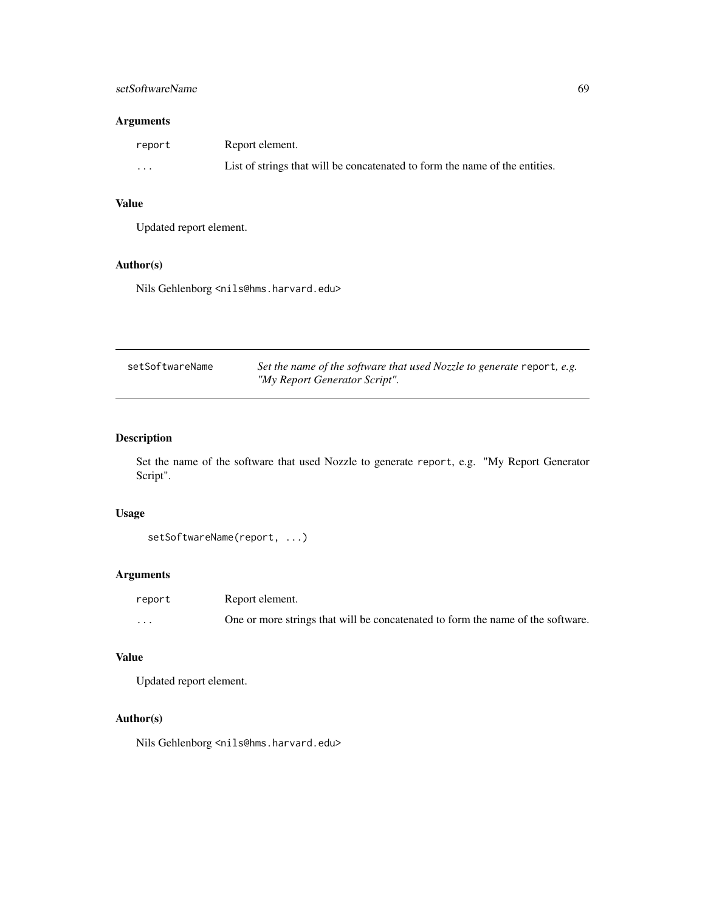#### setSoftwareName 69

## Arguments

| report   | Report element.                                                             |
|----------|-----------------------------------------------------------------------------|
| $\cdots$ | List of strings that will be concatenated to form the name of the entities. |

## Value

Updated report element.

## Author(s)

Nils Gehlenborg <nils@hms.harvard.edu>

| setSoftwareName | Set the name of the software that used Nozzle to generate report, e.g. |
|-----------------|------------------------------------------------------------------------|
|                 | "My Report Generator Script".                                          |

## Description

Set the name of the software that used Nozzle to generate report, e.g. "My Report Generator Script".

#### Usage

```
setSoftwareName(report, ...)
```
#### Arguments

| report   | Report element.                                                                 |
|----------|---------------------------------------------------------------------------------|
| $\cdots$ | One or more strings that will be concatenated to form the name of the software. |

#### Value

Updated report element.

#### Author(s)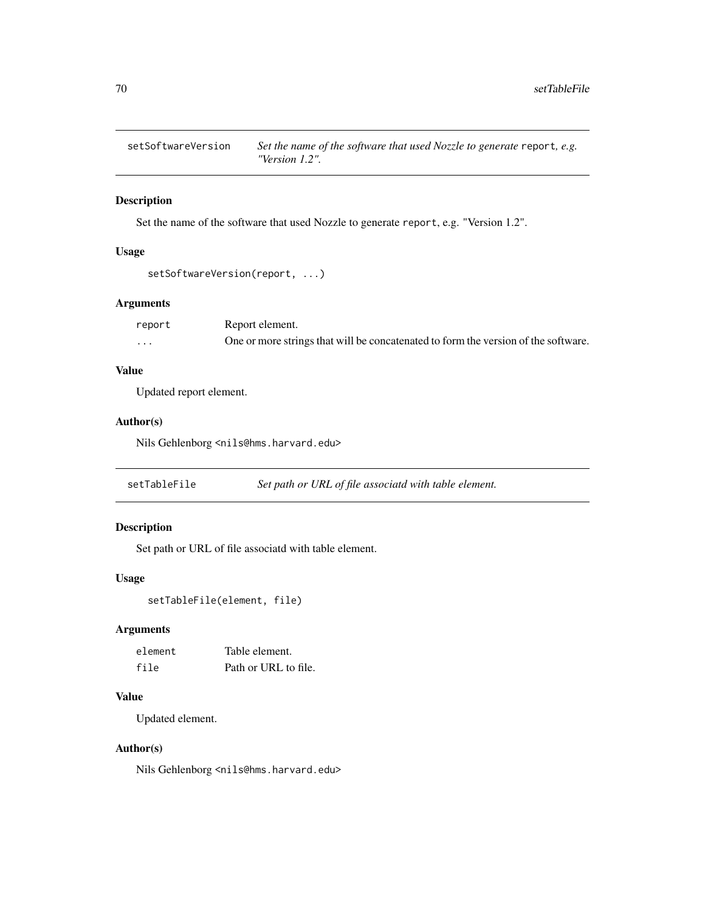## Description

Set the name of the software that used Nozzle to generate report, e.g. "Version 1.2".

## Usage

```
setSoftwareVersion(report, ...)
```
#### Arguments

| report | Report element.                                                                    |
|--------|------------------------------------------------------------------------------------|
| .      | One or more strings that will be concatenated to form the version of the software. |

#### Value

Updated report element.

#### Author(s)

Nils Gehlenborg <nils@hms.harvard.edu>

setTableFile *Set path or URL of file associatd with table element.*

#### Description

Set path or URL of file associatd with table element.

#### Usage

```
setTableFile(element, file)
```
#### Arguments

| element | Table element.       |
|---------|----------------------|
| file    | Path or URL to file. |

## Value

Updated element.

#### Author(s)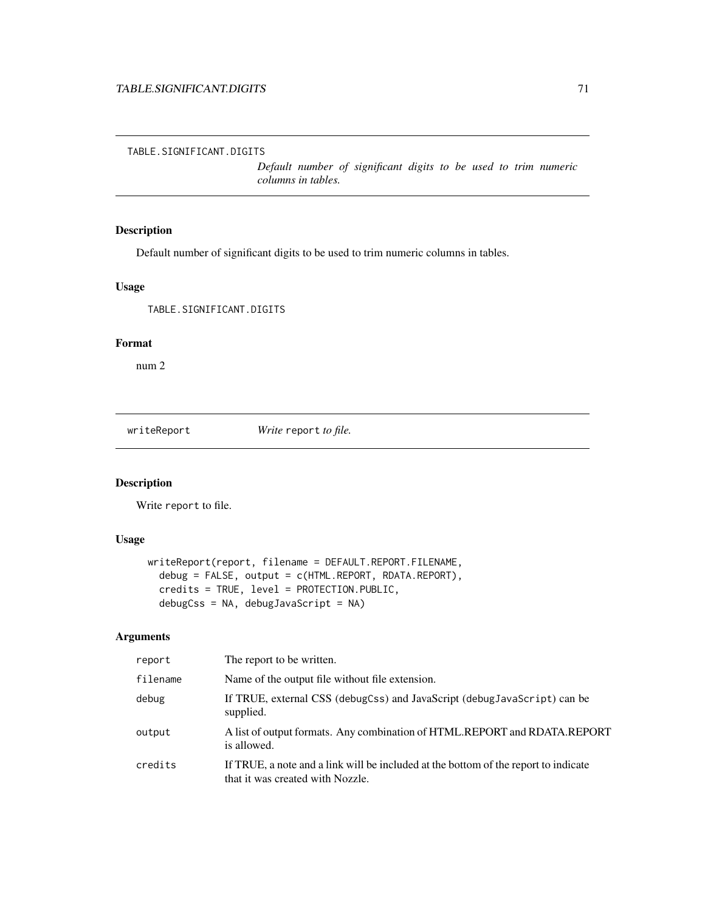TABLE.SIGNIFICANT.DIGITS

*Default number of significant digits to be used to trim numeric columns in tables.*

## Description

Default number of significant digits to be used to trim numeric columns in tables.

#### Usage

TABLE.SIGNIFICANT.DIGITS

#### Format

num 2

writeReport *Write* report *to file.*

#### Description

Write report to file.

#### Usage

```
writeReport(report, filename = DEFAULT.REPORT.FILENAME,
 debug = FALSE, output = c(HTML.REPORT, RDATA.REPORT),
 credits = TRUE, level = PROTECTION.PUBLIC,
 debugCs = NA, debugJavaScript = NA)
```

| report   | The report to be written.                                                                                               |
|----------|-------------------------------------------------------------------------------------------------------------------------|
| filename | Name of the output file without file extension.                                                                         |
| debug    | If TRUE, external CSS (debugCss) and JavaScript (debugJavaScript) can be<br>supplied.                                   |
| output   | A list of output formats. Any combination of HTML. REPORT and RDATA. REPORT<br>is allowed.                              |
| credits  | If TRUE, a note and a link will be included at the bottom of the report to indicate<br>that it was created with Nozzle. |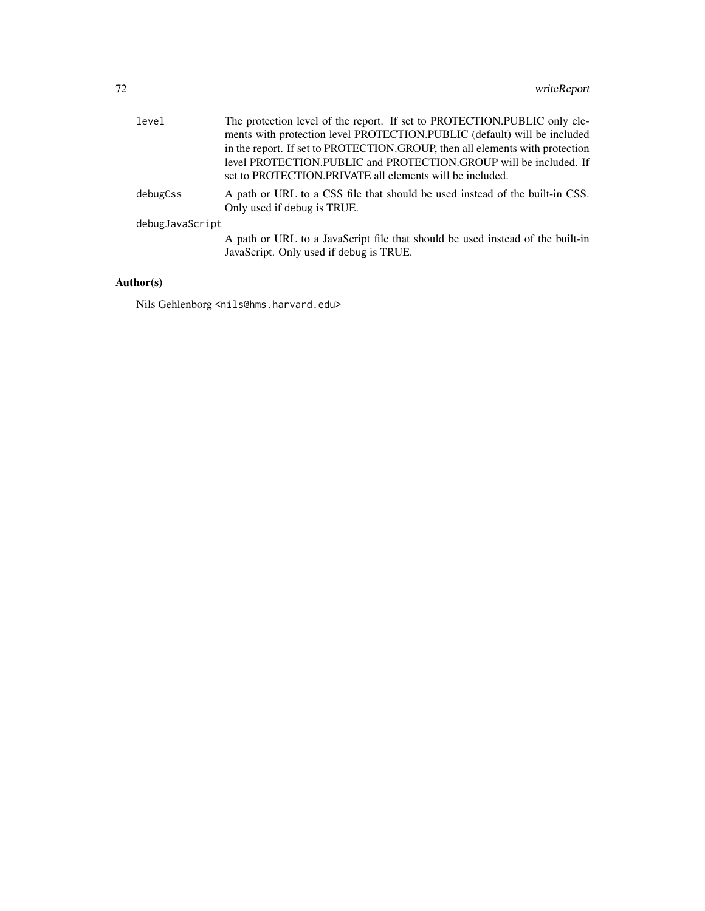|                 | level    | The protection level of the report. If set to PROTECTION.PUBLIC only ele-<br>ments with protection level PROTECTION.PUBLIC (default) will be included<br>in the report. If set to PROTECTION.GROUP, then all elements with protection<br>level PROTECTION.PUBLIC and PROTECTION.GROUP will be included. If<br>set to PROTECTION.PRIVATE all elements will be included. |
|-----------------|----------|------------------------------------------------------------------------------------------------------------------------------------------------------------------------------------------------------------------------------------------------------------------------------------------------------------------------------------------------------------------------|
|                 | debugCss | A path or URL to a CSS file that should be used instead of the built-in CSS.<br>Only used if debug is TRUE.                                                                                                                                                                                                                                                            |
| debugJavaScript |          |                                                                                                                                                                                                                                                                                                                                                                        |
|                 |          | A path or URL to a JavaScript file that should be used instead of the built-in<br>JavaScript. Only used if debug is TRUE.                                                                                                                                                                                                                                              |
|                 |          |                                                                                                                                                                                                                                                                                                                                                                        |

# Author(s)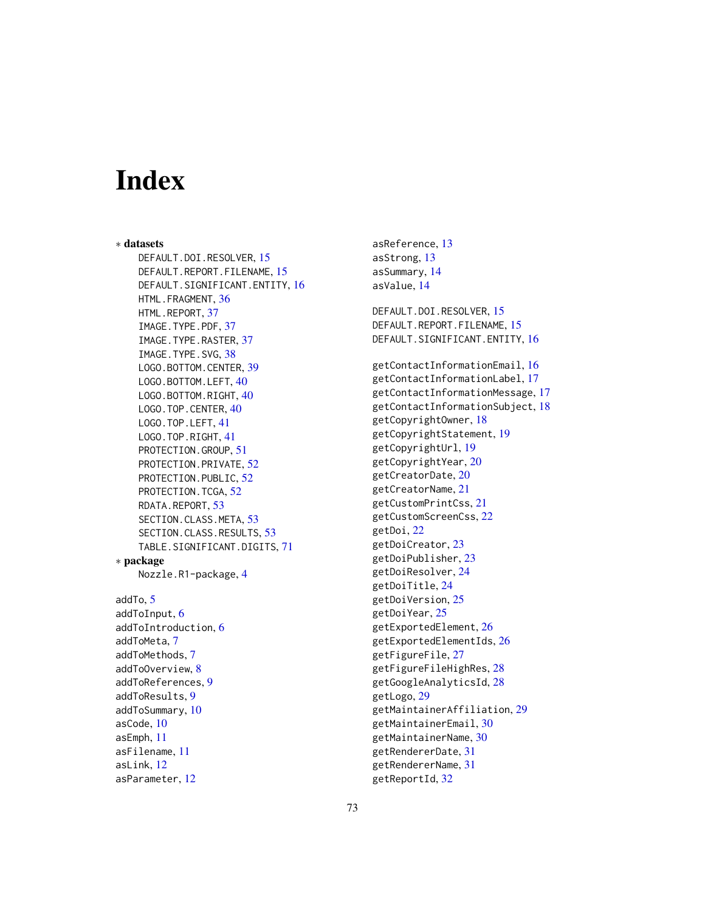## Index

∗ datasets DEFAULT.DOI.RESOLVER, [15](#page-14-0) DEFAULT.REPORT.FILENAME, [15](#page-14-0) DEFAULT.SIGNIFICANT.ENTITY, [16](#page-15-0) HTML.FRAGMENT, [36](#page-35-0) HTML.REPORT, [37](#page-36-0) IMAGE.TYPE.PDF, [37](#page-36-0) IMAGE.TYPE.RASTER, [37](#page-36-0) IMAGE.TYPE.SVG, [38](#page-37-0) LOGO.BOTTOM.CENTER, [39](#page-38-0) LOGO.BOTTOM.LEFT, [40](#page-39-0) LOGO.BOTTOM.RIGHT, [40](#page-39-0) LOGO.TOP.CENTER, [40](#page-39-0) LOGO.TOP.LEFT, [41](#page-40-0) LOGO.TOP.RIGHT, [41](#page-40-0) PROTECTION.GROUP, [51](#page-50-0) PROTECTION.PRIVATE, [52](#page-51-0) PROTECTION.PUBLIC, [52](#page-51-0) PROTECTION.TCGA, [52](#page-51-0) RDATA.REPORT, [53](#page-52-0) SECTION.CLASS.META, [53](#page-52-0) SECTION.CLASS.RESULTS, [53](#page-52-0) TABLE.SIGNIFICANT.DIGITS, [71](#page-70-0) ∗ package Nozzle.R1-package, [4](#page-3-0) addTo, [5](#page-4-0) addToInput, [6](#page-5-0) addToIntroduction, [6](#page-5-0) addToMeta, [7](#page-6-0) addToMethods, [7](#page-6-0) addToOverview, [8](#page-7-0) addToReferences, [9](#page-8-0) addToResults, [9](#page-8-0) addToSummary, [10](#page-9-0) asCode, [10](#page-9-0) asEmph, [11](#page-10-0) asFilename, [11](#page-10-0)

asLink, [12](#page-11-0) asParameter, [12](#page-11-0) asReference, [13](#page-12-0) asStrong, [13](#page-12-0) asSummary, [14](#page-13-0) asValue, [14](#page-13-0) DEFAULT.DOI.RESOLVER, [15](#page-14-0) DEFAULT.REPORT.FILENAME, [15](#page-14-0) DEFAULT.SIGNIFICANT.ENTITY, [16](#page-15-0) getContactInformationEmail, [16](#page-15-0) getContactInformationLabel, [17](#page-16-0) getContactInformationMessage, [17](#page-16-0) getContactInformationSubject, [18](#page-17-0) getCopyrightOwner, [18](#page-17-0) getCopyrightStatement, [19](#page-18-0) getCopyrightUrl, [19](#page-18-0) getCopyrightYear, [20](#page-19-0) getCreatorDate, [20](#page-19-0) getCreatorName, [21](#page-20-0) getCustomPrintCss, [21](#page-20-0) getCustomScreenCss, [22](#page-21-0) getDoi, [22](#page-21-0) getDoiCreator, [23](#page-22-0) getDoiPublisher, [23](#page-22-0) getDoiResolver, [24](#page-23-0) getDoiTitle, [24](#page-23-0) getDoiVersion, [25](#page-24-0) getDoiYear, [25](#page-24-0) getExportedElement, [26](#page-25-0) getExportedElementIds, [26](#page-25-0) getFigureFile, [27](#page-26-0) getFigureFileHighRes, [28](#page-27-0) getGoogleAnalyticsId, [28](#page-27-0) getLogo, [29](#page-28-0) getMaintainerAffiliation, [29](#page-28-0) getMaintainerEmail, [30](#page-29-0) getMaintainerName, [30](#page-29-0) getRendererDate, [31](#page-30-0) getRendererName, [31](#page-30-0) getReportId, [32](#page-31-0)